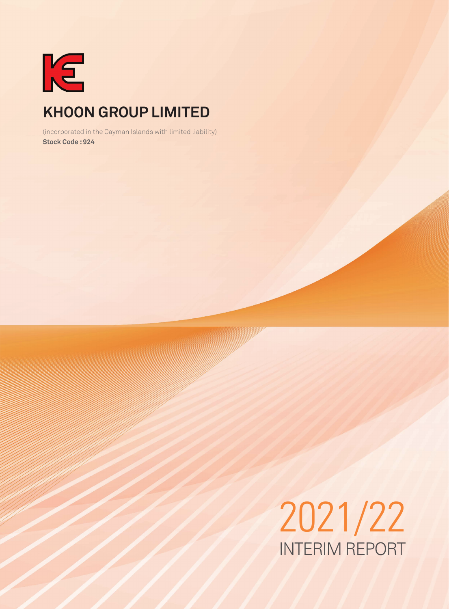

# **KHOON GROUP LIMITED**

(incorporated in the Cayman Islands with limited liability) **Stock Code : 924**

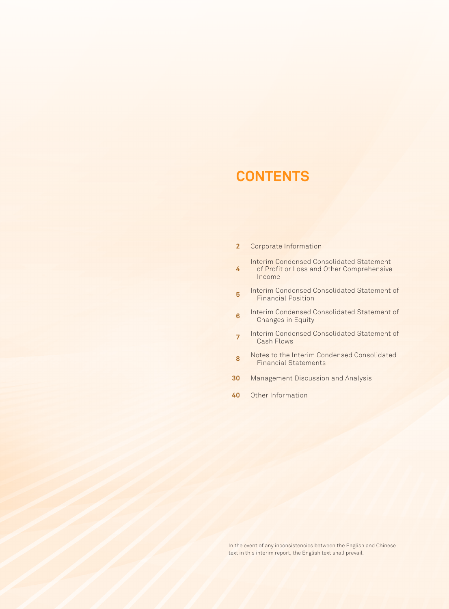# **CONTENTS**

- **2** Corporate Information
	- Interim Condensed Consolidated Statement
- **4** of Profit or Loss and Other Comprehensive Income
- **5** Interim Condensed Consolidated Statement of Financial Position
- **6** Interim Condensed Consolidated Statement of Changes in Equity
- **<sup>7</sup>** Interim Condensed Consolidated Statement of Cash Flows
- **8** Notes to the Interim Condensed Consolidated Financial Statements
- **30** Management Discussion and Analysis
- **40** Other Information

In the event of any inconsistencies between the English and Chinese text in this interim report, the English text shall prevail.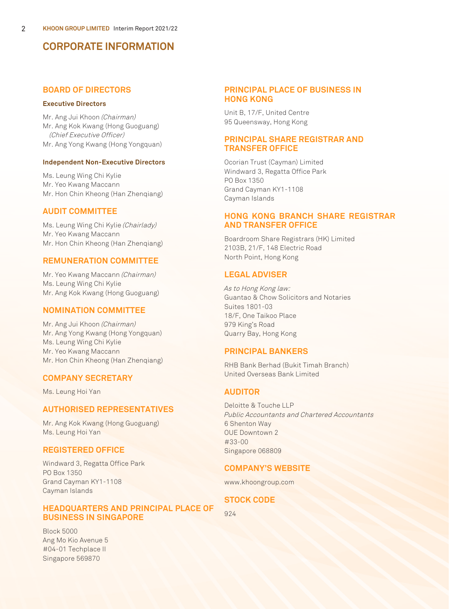## **CORPORATE INFORMATION**

### **BOARD OF DIRECTORS**

#### **Executive Directors**

Mr. Ang Jui Khoon (Chairman) Mr. Ang Kok Kwang (Hong Guoguang) (Chief Executive Officer) Mr. Ang Yong Kwang (Hong Yongquan)

#### **Independent Non-Executive Directors**

Ms. Leung Wing Chi Kylie Mr. Yeo Kwang Maccann Mr. Hon Chin Kheong (Han Zhenqiang)

### **AUDIT COMMITTEE**

Ms. Leung Wing Chi Kylie (Chairlady) Mr. Yeo Kwang Maccann Mr. Hon Chin Kheong (Han Zhenqiang)

### **REMUNERATION COMMITTEE**

Mr. Yeo Kwang Maccann (Chairman) Ms. Leung Wing Chi Kylie Mr. Ang Kok Kwang (Hong Guoguang)

### **NOMINATION COMMITTEE**

Mr. Ang Jui Khoon (Chairman) Mr. Ang Yong Kwang (Hong Yongquan) Ms. Leung Wing Chi Kylie Mr. Yeo Kwang Maccann Mr. Hon Chin Kheong (Han Zhenqiang)

### **COMPANY SECRETARY**

Ms. Leung Hoi Yan

### **AUTHORISED REPRESENTATIVES**

Mr. Ang Kok Kwang (Hong Guoguang) Ms. Leung Hoi Yan

### **REGISTERED OFFICE**

Windward 3, Regatta Office Park PO Box 1350 Grand Cayman KY1-1108 Cayman Islands

### **HEADQUARTERS AND PRINCIPAL PLACE OF BUSINESS IN SINGAPORE**

Block 5000 Ang Mo Kio Avenue 5 #04-01 Techplace II Singapore 569870

### **PRINCIPAL PLACE OF BUSINESS IN HONG KONG**

Unit B, 17/F, United Centre 95 Queensway, Hong Kong

### **PRINCIPAL SHARE REGISTRAR AND TRANSFER OFFICE**

Ocorian Trust (Cayman) Limited Windward 3, Regatta Office Park PO Box 1350 Grand Cayman KY1-1108 Cayman Islands

### **HONG KONG BRANCH SHARE REGISTRAR AND TRANSFER OFFICE**

Boardroom Share Registrars (HK) Limited 2103B, 21/F, 148 Electric Road North Point, Hong Kong

### **LEGAL ADVISER**

As to Hong Kong law: Guantao & Chow Solicitors and Notaries Suites 1801-03 18/F, One Taikoo Place 979 King's Road Quarry Bay, Hong Kong

### **PRINCIPAL BANKERS**

RHB Bank Berhad (Bukit Timah Branch) United Overseas Bank Limited

### **AUDITOR**

Deloitte & Touche LLP Public Accountants and Chartered Accountants 6 Shenton Way OUE Downtown 2 #33-00 Singapore 068809

### **COMPANY'S WEBSITE**

www.khoongroup.com

### **STOCK CODE**

924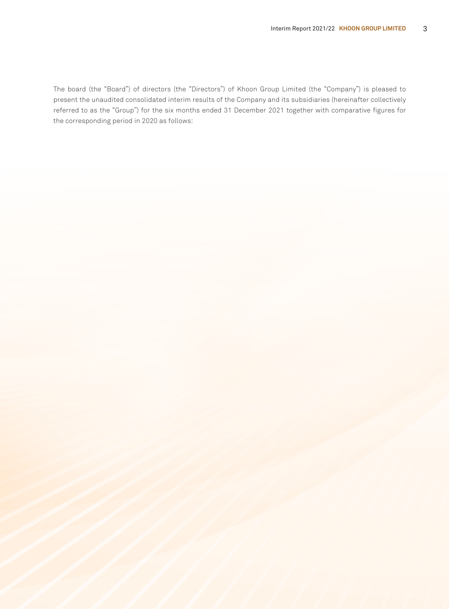The board (the "Board") of directors (the "Directors") of Khoon Group Limited (the "Company") is pleased to present the unaudited consolidated interim results of the Company and its subsidiaries (hereinafter collectively referred to as the "Group") for the six months ended 31 December 2021 together with comparative figures for the corresponding period in 2020 as follows: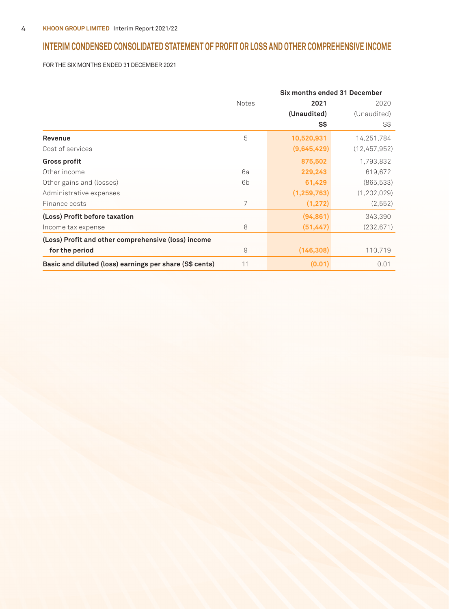## **INTERIM CONDENSED CONSOLIDATED STATEMENT OF PROFIT OR LOSS AND OTHER COMPREHENSIVE INCOME**

FOR THE SIX MONTHS ENDED 31 DECEMBER 2021

|                                                         | Six months ended 31 December |               |              |
|---------------------------------------------------------|------------------------------|---------------|--------------|
|                                                         | <b>Notes</b>                 | 2021          | 2020         |
|                                                         |                              | (Unaudited)   | (Unaudited)  |
|                                                         |                              | S\$           | S\$          |
| Revenue                                                 | 5                            | 10,520,931    | 14,251,784   |
| Cost of services                                        |                              | (9,645,429)   | (12,457,952) |
| <b>Gross profit</b>                                     |                              | 875,502       | 1,793,832    |
| Other income                                            | 6a                           | 229,243       | 619,672      |
| Other gains and (losses)                                | 6b                           | 61,429        | (865, 533)   |
| Administrative expenses                                 |                              | (1, 259, 763) | (1,202,029)  |
| Finance costs                                           | $\overline{7}$               | (1, 272)      | (2, 552)     |
| (Loss) Profit before taxation                           |                              | (94, 861)     | 343,390      |
| Income tax expense                                      | 8                            | (51, 447)     | (232, 671)   |
| (Loss) Profit and other comprehensive (loss) income     |                              |               |              |
| for the period                                          | 9                            | (146, 308)    | 110,719      |
| Basic and diluted (loss) earnings per share (S\$ cents) | 11                           | (0.01)        | 0.01         |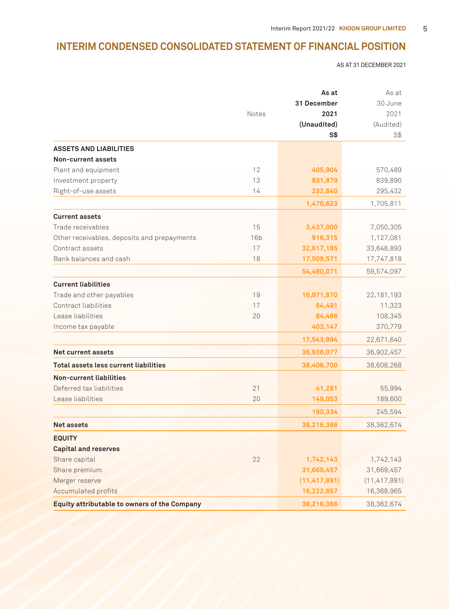## **INTERIM CONDENSED CONSOLIDATED STATEMENT OF FINANCIAL POSITION**

AS AT 31 DECEMBER 2021

|                                                     |                 | As at          | As at          |  |
|-----------------------------------------------------|-----------------|----------------|----------------|--|
|                                                     |                 | 31 December    | 30 June        |  |
|                                                     | Notes           | 2021           | 2021           |  |
|                                                     |                 | (Unaudited)    | (Audited)      |  |
|                                                     |                 | <b>S\$</b>     | S\$            |  |
| <b>ASSETS AND LIABILITIES</b>                       |                 |                |                |  |
| Non-current assets                                  |                 |                |                |  |
| Plant and equipment                                 | 12              | 405,904        | 570,489        |  |
| Investment property                                 | 13              | 831,879        | 839,890        |  |
| Right-of-use assets                                 | 14              | 232,840        | 295,432        |  |
|                                                     |                 | 1,470,623      | 1,705,811      |  |
| <b>Current assets</b>                               |                 |                |                |  |
| Trade receivables                                   | 15              | 3,437,000      | 7,050,305      |  |
| Other receivables, deposits and prepayments         | 16 <sub>b</sub> | 916,315        | 1,127,081      |  |
| Contract assets                                     | 17              | 32,617,185     | 33,648,893     |  |
| Bank balances and cash                              | 18              | 17,509,571     | 17,747,818     |  |
|                                                     |                 | 54,480,071     | 59,574,097     |  |
| <b>Current liabilities</b>                          |                 |                |                |  |
| Trade and other payables                            | 19              | 16,971,870     | 22,181,193     |  |
| Contract liabilities                                | 17              | 84,491         | 11,323         |  |
| Lease liabilities                                   | 20              | 84,486         | 108,345        |  |
| Income tax payable                                  |                 | 403,147        | 370,779        |  |
|                                                     |                 | 17,543,994     | 22,671,640     |  |
| <b>Net current assets</b>                           |                 | 36,936,077     | 36,902,457     |  |
| Total assets less current liabilities               |                 | 38,406,700     | 38,608,268     |  |
| <b>Non-current liabilities</b>                      |                 |                |                |  |
| Deferred tax liabilities                            | 21              | 41,281         | 55,994         |  |
| Lease liabilities                                   | 20              | 149,053        | 189,600        |  |
|                                                     |                 | 190,334        | 245,594        |  |
| <b>Net assets</b>                                   |                 | 38,216,366     | 38.362.674     |  |
| <b>EQUITY</b>                                       |                 |                |                |  |
| <b>Capital and reserves</b>                         |                 |                |                |  |
| Share capital                                       | 22              | 1,742,143      | 1,742,143      |  |
| Share premium                                       |                 | 31,669,457     | 31,669,457     |  |
| Merger reserve                                      |                 | (11, 417, 891) | (11, 417, 891) |  |
| <b>Accumulated profits</b>                          |                 | 16,222,657     | 16,368,965     |  |
| <b>Equity attributable to owners of the Company</b> |                 | 38,216,366     | 38,362,674     |  |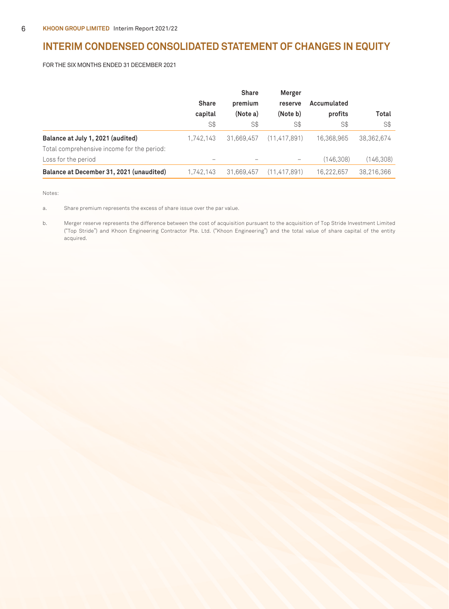## **INTERIM CONDENSED CONSOLIDATED STATEMENT OF CHANGES IN EQUITY**

FOR THE SIX MONTHS ENDED 31 DECEMBER 2021

|                                            |              | <b>Share</b> | Merger                                                                    |             |            |
|--------------------------------------------|--------------|--------------|---------------------------------------------------------------------------|-------------|------------|
|                                            | <b>Share</b> | premium      | reserve                                                                   | Accumulated |            |
|                                            | capital      | (Note a)     | (Note b)                                                                  | profits     | Total      |
|                                            | S\$          | S\$          | S\$                                                                       | S\$         | S\$        |
| Balance at July 1, 2021 (audited)          | 1,742,143    | 31,669,457   | (11.417.891)                                                              | 16.368.965  | 38,362,674 |
| Total comprehensive income for the period: |              |              |                                                                           |             |            |
| Loss for the period                        |              |              | $\hspace{1.0cm} \rule{1.5cm}{0.15cm} \hspace{1.0cm} \rule{1.5cm}{0.15cm}$ | (146.308)   | (146,308)  |
| Balance at December 31, 2021 (unaudited)   | 1,742,143    | 31,669,457   | (11, 417, 891)                                                            | 16.222.657  | 38,216,366 |

Notes:

a. Share premium represents the excess of share issue over the par value.

b. Merger reserve represents the difference between the cost of acquisition pursuant to the acquisition of Top Stride Investment Limited ("Top Stride") and Khoon Engineering Contractor Pte. Ltd. ("Khoon Engineering") and the total value of share capital of the entity acquired.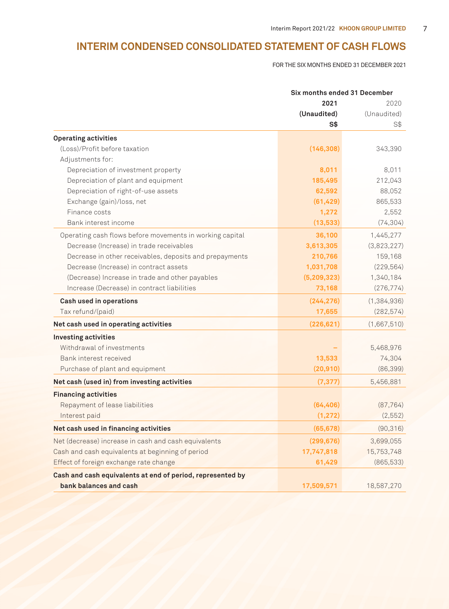## **INTERIM CONDENSED CONSOLIDATED STATEMENT OF CASH FLOWS**

FOR THE SIX MONTHS ENDED 31 DECEMBER 2021

|                                                            |                | Six months ended 31 December |  |
|------------------------------------------------------------|----------------|------------------------------|--|
|                                                            | 2021           | 2020                         |  |
|                                                            | (Unaudited)    | (Unaudited)                  |  |
|                                                            | S <sub>3</sub> | S\$                          |  |
| <b>Operating activities</b>                                |                |                              |  |
| (Loss)/Profit before taxation                              | (146, 308)     | 343,390                      |  |
| Adjustments for:                                           |                |                              |  |
| Depreciation of investment property                        | 8,011          | 8,011                        |  |
| Depreciation of plant and equipment                        | 185,495        | 212,043                      |  |
| Depreciation of right-of-use assets                        | 62,592         | 88,052                       |  |
| Exchange (gain)/loss, net                                  | (61, 429)      | 865,533                      |  |
| Finance costs                                              | 1,272          | 2,552                        |  |
| Bank interest income                                       | (13, 533)      | (74, 304)                    |  |
| Operating cash flows before movements in working capital   | 36,100         | 1,445,277                    |  |
| Decrease (Increase) in trade receivables                   | 3,613,305      | (3,823,227)                  |  |
| Decrease in other receivables, deposits and prepayments    | 210,766        | 159,168                      |  |
| Decrease (Increase) in contract assets                     | 1,031,708      | (229, 564)                   |  |
| (Decrease) Increase in trade and other payables            | (5, 209, 323)  | 1,340,184                    |  |
| Increase (Decrease) in contract liabilities                | 73,168         | (276, 774)                   |  |
| Cash used in operations                                    | (244, 276)     | (1, 384, 936)                |  |
| Tax refund/(paid)                                          | 17,655         | (282, 574)                   |  |
| Net cash used in operating activities                      | (226, 621)     | (1,667,510)                  |  |
| <b>Investing activities</b>                                |                |                              |  |
| Withdrawal of investments                                  |                | 5,468,976                    |  |
| Bank interest received                                     | 13,533         | 74,304                       |  |
| Purchase of plant and equipment                            | (20, 910)      | (86, 399)                    |  |
| Net cash (used in) from investing activities               | (7, 377)       | 5,456,881                    |  |
| <b>Financing activities</b>                                |                |                              |  |
| Repayment of lease liabilities                             | (64, 406)      | (87, 764)                    |  |
| Interest paid                                              | (1, 272)       | (2, 552)                     |  |
| Net cash used in financing activities                      | (65, 678)      | (90, 316)                    |  |
| Net (decrease) increase in cash and cash equivalents       | (299, 676)     | 3,699,055                    |  |
| Cash and cash equivalents at beginning of period           | 17,747,818     | 15,753,748                   |  |
| Effect of foreign exchange rate change                     | 61,429         | (865, 533)                   |  |
| Cash and cash equivalents at end of period, represented by |                |                              |  |
| bank balances and cash                                     | 17,509,571     | 18,587,270                   |  |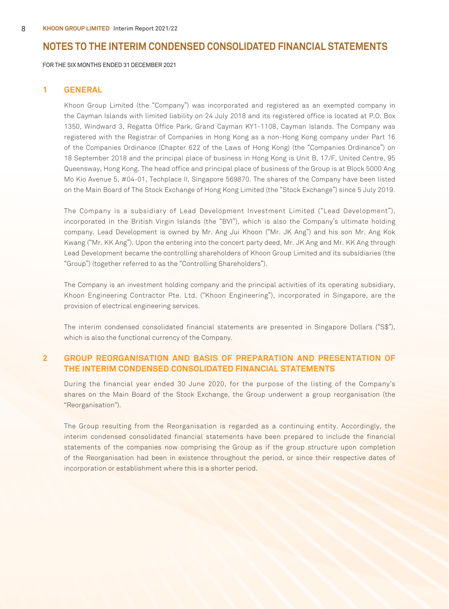FOR THE SIX MONTHS ENDED 31 DECEMBER 2021

#### **1 GENERAL**

Khoon Group Limited (the "Company") was incorporated and registered as an exempted company in the Cayman Islands with limited liability on 24 July 2018 and its registered office is located at P.O. Box 1350, Windward 3, Regatta Office Park, Grand Cayman KY1-1108, Cayman Islands. The Company was registered with the Registrar of Companies in Hong Kong as a non-Hong Kong company under Part 16 of the Companies Ordinance (Chapter 622 of the Laws of Hong Kong) (the "Companies Ordinance") on 18 September 2018 and the principal place of business in Hong Kong is Unit B, 17/F, United Centre, 95 Queensway, Hong Kong. The head office and principal place of business of the Group is at Block 5000 Ang Mo Kio Avenue 5, #04-01, Techplace II, Singapore 569870. The shares of the Company have been listed on the Main Board of The Stock Exchange of Hong Kong Limited (the "Stock Exchange") since 5 July 2019.

The Company is a subsidiary of Lead Development Investment Limited ("Lead Development"), incorporated in the British Virgin Islands (the "BVI"), which is also the Company's ultimate holding company. Lead Development is owned by Mr. Ang Jui Khoon ("Mr. JK Ang") and his son Mr. Ang Kok Kwang ("Mr. KK Ang"). Upon the entering into the concert party deed, Mr. JK Ang and Mr. KK Ang through Lead Development became the controlling shareholders of Khoon Group Limited and its subsidiaries (the "Group") (together referred to as the "Controlling Shareholders").

The Company is an investment holding company and the principal activities of its operating subsidiary, Khoon Engineering Contractor Pte. Ltd. ("Khoon Engineering"), incorporated in Singapore, are the provision of electrical engineering services.

The interim condensed consolidated financial statements are presented in Singapore Dollars ("S\$"), which is also the functional currency of the Company.

### **2 GROUP REORGANISATION AND BASIS OF PREPARATION AND PRESENTATION OF THE INTERIM CONDENSED CONSOLIDATED FINANCIAL STATEMENTS**

During the financial year ended 30 June 2020, for the purpose of the listing of the Company's shares on the Main Board of the Stock Exchange, the Group underwent a group reorganisation (the "Reorganisation").

The Group resulting from the Reorganisation is regarded as a continuing entity. Accordingly, the interim condensed consolidated financial statements have been prepared to include the financial statements of the companies now comprising the Group as if the group structure upon completion of the Reorganisation had been in existence throughout the period, or since their respective dates of incorporation or establishment where this is a shorter period.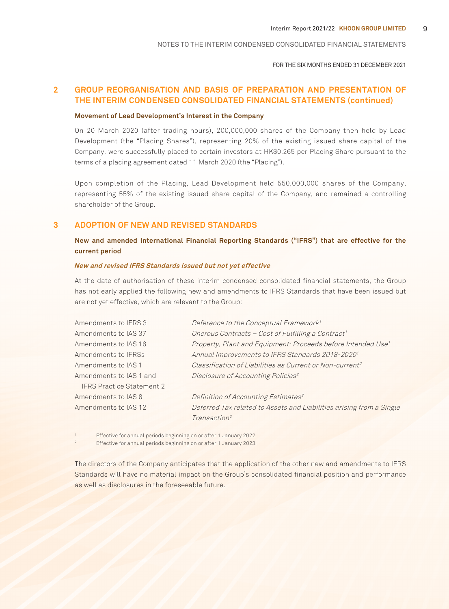FOR THE SIX MONTHS ENDED 31 DECEMBER 2021

### **2 GROUP REORGANISATION AND BASIS OF PREPARATION AND PRESENTATION OF THE INTERIM CONDENSED CONSOLIDATED FINANCIAL STATEMENTS (continued)**

#### **Movement of Lead Development's Interest in the Company**

On 20 March 2020 (after trading hours), 200,000,000 shares of the Company then held by Lead Development (the "Placing Shares"), representing 20% of the existing issued share capital of the Company, were successfully placed to certain investors at HK\$0.265 per Placing Share pursuant to the terms of a placing agreement dated 11 March 2020 (the "Placing").

Upon completion of the Placing, Lead Development held 550,000,000 shares of the Company, representing 55% of the existing issued share capital of the Company, and remained a controlling shareholder of the Group.

### **3 ADOPTION OF NEW AND REVISED STANDARDS**

**New and amended International Financial Reporting Standards ("IFRS") that are effective for the current period**

#### **New and revised IFRS Standards issued but not yet effective**

At the date of authorisation of these interim condensed consolidated financial statements, the Group has not early applied the following new and amendments to IFRS Standards that have been issued but are not yet effective, which are relevant to the Group:

| Amendments to IFRS 3             | Reference to the Conceptual Framework <sup>1</sup>                       |
|----------------------------------|--------------------------------------------------------------------------|
| Amendments to IAS 37             | Onerous Contracts - Cost of Fulfilling a Contract <sup>1</sup>           |
| Amendments to IAS 16             | Property, Plant and Equipment: Proceeds before Intended Use <sup>1</sup> |
| Amendments to IFRSs              | Annual Improvements to IFRS Standards 2018-2020 <sup>1</sup>             |
| Amendments to IAS 1              | Classification of Liabilities as Current or Non-current <sup>2</sup>     |
| Amendments to IAS 1 and          | Disclosure of Accounting Policies <sup>2</sup>                           |
| <b>IFRS Practice Statement 2</b> |                                                                          |
| Amendments to IAS 8              | Definition of Accounting Estimates <sup>2</sup>                          |
| Amendments to IAS 12             | Deferred Tax related to Assets and Liabilities arising from a Single     |
|                                  | Transaction <sup>2</sup>                                                 |

1 Effective for annual periods beginning on or after 1 January 2022.

2 Effective for annual periods beginning on or after 1 January 2023.

The directors of the Company anticipates that the application of the other new and amendments to IFRS Standards will have no material impact on the Group's consolidated financial position and performance as well as disclosures in the foreseeable future.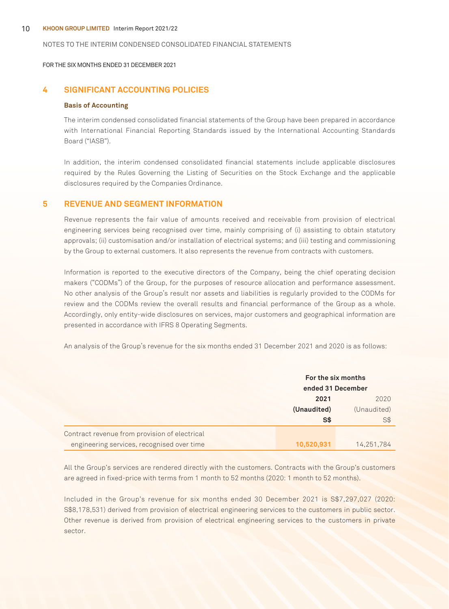#### 10 **KHOON GROUP LIMITED** Interim Report 2021/22

#### NOTES TO THE INTERIM CONDENSED CONSOLIDATED FINANCIAL STATEMENTS

FOR THE SIX MONTHS ENDED 31 DECEMBER 2021

### **4 SIGNIFICANT ACCOUNTING POLICIES**

#### **Basis of Accounting**

The interim condensed consolidated financial statements of the Group have been prepared in accordance with International Financial Reporting Standards issued by the International Accounting Standards Board ("IASB").

In addition, the interim condensed consolidated financial statements include applicable disclosures required by the Rules Governing the Listing of Securities on the Stock Exchange and the applicable disclosures required by the Companies Ordinance.

### **5 REVENUE AND SEGMENT INFORMATION**

Revenue represents the fair value of amounts received and receivable from provision of electrical engineering services being recognised over time, mainly comprising of (i) assisting to obtain statutory approvals; (ii) customisation and/or installation of electrical systems; and (iii) testing and commissioning by the Group to external customers. It also represents the revenue from contracts with customers.

Information is reported to the executive directors of the Company, being the chief operating decision makers ("CODMs") of the Group, for the purposes of resource allocation and performance assessment. No other analysis of the Group's result nor assets and liabilities is regularly provided to the CODMs for review and the CODMs review the overall results and financial performance of the Group as a whole. Accordingly, only entity-wide disclosures on services, major customers and geographical information are presented in accordance with IFRS 8 Operating Segments.

An analysis of the Group's revenue for the six months ended 31 December 2021 and 2020 is as follows:

|                                               | For the six months<br>ended 31 December |             |
|-----------------------------------------------|-----------------------------------------|-------------|
|                                               | 2021                                    | 2020        |
|                                               | (Unaudited)                             | (Unaudited) |
|                                               | S\$                                     | S\$         |
| Contract revenue from provision of electrical |                                         |             |
| engineering services, recognised over time    | 10,520,931                              | 14.251.784  |

All the Group's services are rendered directly with the customers. Contracts with the Group's customers are agreed in fixed-price with terms from 1 month to 52 months (2020: 1 month to 52 months).

Included in the Group's revenue for six months ended 30 December 2021 is S\$7,297,027 (2020: S\$8,178,531) derived from provision of electrical engineering services to the customers in public sector. Other revenue is derived from provision of electrical engineering services to the customers in private sector.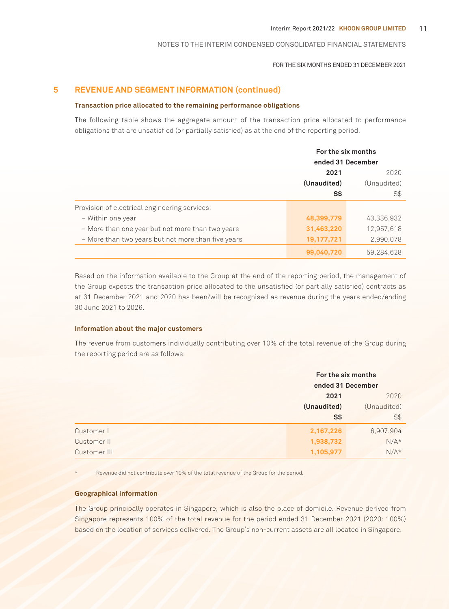#### FOR THE SIX MONTHS ENDED 31 DECEMBER 2021

### **5 REVENUE AND SEGMENT INFORMATION (continued)**

#### **Transaction price allocated to the remaining performance obligations**

The following table shows the aggregate amount of the transaction price allocated to performance obligations that are unsatisfied (or partially satisfied) as at the end of the reporting period.

|                                                    | For the six months |                   |  |
|----------------------------------------------------|--------------------|-------------------|--|
|                                                    |                    | ended 31 December |  |
|                                                    | 2021               | 2020              |  |
|                                                    | (Unaudited)        | (Unaudited)       |  |
|                                                    | S\$                | S\$               |  |
| Provision of electrical engineering services:      |                    |                   |  |
| – Within one year                                  | 48,399,779         | 43,336,932        |  |
| - More than one year but not more than two years   | 31,463,220         | 12,957,618        |  |
| - More than two years but not more than five years | 19,177,721         | 2,990,078         |  |
|                                                    | 99,040,720         | 59.284.628        |  |

Based on the information available to the Group at the end of the reporting period, the management of the Group expects the transaction price allocated to the unsatisfied (or partially satisfied) contracts as at 31 December 2021 and 2020 has been/will be recognised as revenue during the years ended/ending 30 June 2021 to 2026.

#### **Information about the major customers**

The revenue from customers individually contributing over 10% of the total revenue of the Group during the reporting period are as follows:

|              | For the six months<br>ended 31 December |                    |
|--------------|-----------------------------------------|--------------------|
|              | 2021<br>2020                            |                    |
|              | (Unaudited)<br>$S*$                     | (Unaudited)<br>S\$ |
| Customer I   | 2,167,226                               | 6,907,904          |
| Customer II  | 1,938,732                               | $N/A*$             |
| Customer III | 1,105,977                               | $N/A*$             |

Revenue did not contribute over 10% of the total revenue of the Group for the period.

#### **Geographical information**

The Group principally operates in Singapore, which is also the place of domicile. Revenue derived from Singapore represents 100% of the total revenue for the period ended 31 December 2021 (2020: 100%) based on the location of services delivered. The Group's non-current assets are all located in Singapore.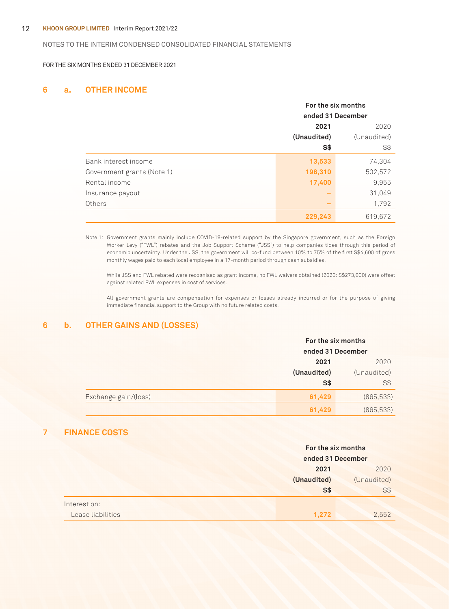#### 12 **KHOON GROUP LIMITED** Interim Report 2021/22

#### NOTES TO THE INTERIM CONDENSED CONSOLIDATED FINANCIAL STATEMENTS

FOR THE SIX MONTHS ENDED 31 DECEMBER 2021

### **6 a. OTHER INCOME**

|                            | For the six months<br>ended 31 December |             |
|----------------------------|-----------------------------------------|-------------|
|                            |                                         |             |
|                            | 2021                                    |             |
|                            | (Unaudited)                             | (Unaudited) |
|                            | S\$                                     | S\$         |
| Bank interest income       | 13,533                                  | 74,304      |
| Government grants (Note 1) | 198,310                                 | 502,572     |
| Rental income              | 17,400                                  | 9,955       |
| Insurance payout           |                                         | 31,049      |
| Others                     |                                         | 1,792       |
|                            | 229,243                                 | 619,672     |

Note 1: Government grants mainly include COVID-19-related support by the Singapore government, such as the Foreign Worker Levy ("FWL") rebates and the Job Support Scheme ("JSS") to help companies tides through this period of economic uncertainty. Under the JSS, the government will co-fund between 10% to 75% of the first S\$4,600 of gross monthly wages paid to each local employee in a 17-month period through cash subsidies.

While JSS and FWL rebated were recognised as grant income, no FWL waivers obtained (2020: S\$273,000) were offset against related FWL expenses in cost of services.

All government grants are compensation for expenses or losses already incurred or for the purpose of giving immediate financial support to the Group with no future related costs.

### **6 b. OTHER GAINS AND (LOSSES)**

|                      | For the six months<br>ended 31 December |             |
|----------------------|-----------------------------------------|-------------|
|                      | 2021                                    | 2020        |
|                      | (Unaudited)                             | (Unaudited) |
|                      | S\$                                     | $S$ \$      |
| Exchange gain/(loss) | 61,429                                  | (865, 533)  |
|                      | 61,429                                  | (865, 533)  |

### **7 FINANCE COSTS**

|                   | For the six months |             |
|-------------------|--------------------|-------------|
|                   | ended 31 December  |             |
|                   | 2021               | 2020        |
|                   | (Unaudited)        | (Unaudited) |
|                   | <b>S\$</b>         | S\$         |
| Interest on:      |                    |             |
| Lease liabilities | 1.272              | 2,552       |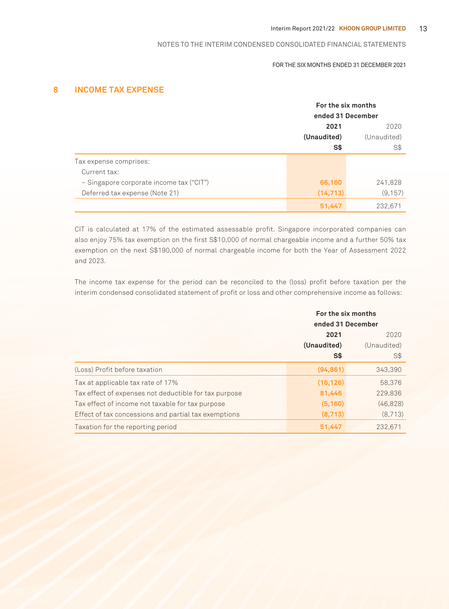#### FOR THE SIX MONTHS ENDED 31 DECEMBER 2021

### **8 INCOME TAX EXPENSE**

|                                          | For the six months<br>ended 31 December |             |
|------------------------------------------|-----------------------------------------|-------------|
|                                          |                                         |             |
|                                          | 2021                                    | 2020        |
|                                          | (Unaudited)                             | (Unaudited) |
|                                          | S\$                                     | S\$         |
| Tax expense comprises:                   |                                         |             |
| Current tax:                             |                                         |             |
| - Singapore corporate income tax ("CIT") | 66,160                                  | 241,828     |
| Deferred tax expense (Note 21)           | (14, 713)                               | (9, 157)    |
|                                          | 51,447                                  | 232.671     |

CIT is calculated at 17% of the estimated assessable profit. Singapore incorporated companies can also enjoy 75% tax exemption on the first S\$10,000 of normal chargeable income and a further 50% tax exemption on the next S\$190,000 of normal chargeable income for both the Year of Assessment 2022 and 2023.

The income tax expense for the period can be reconciled to the (loss) profit before taxation per the interim condensed consolidated statement of profit or loss and other comprehensive income as follows:

|                                                       | For the six months<br>ended 31 December |             |
|-------------------------------------------------------|-----------------------------------------|-------------|
|                                                       | 2021<br>2020                            |             |
|                                                       | (Unaudited)                             | (Unaudited) |
|                                                       | S\$                                     | S\$         |
| (Loss) Profit before taxation                         | (94, 861)                               | 343,390     |
| Tax at applicable tax rate of 17%                     | (16, 126)                               | 58,376      |
| Tax effect of expenses not deductible for tax purpose | 81,446                                  | 229,836     |
| Tax effect of income not taxable for tax purpose      | (5, 160)                                | (46, 828)   |
| Effect of tax concessions and partial tax exemptions  | (8,713)                                 | (8,713)     |
| Taxation for the reporting period                     | 51,447                                  | 232,671     |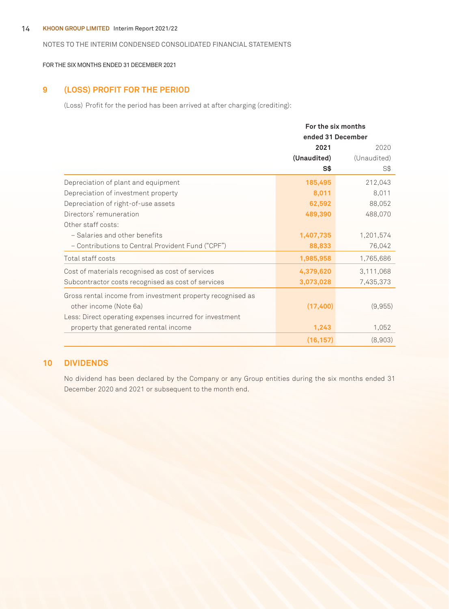#### 14 **KHOON GROUP LIMITED** Interim Report 2021/22

#### NOTES TO THE INTERIM CONDENSED CONSOLIDATED FINANCIAL STATEMENTS

FOR THE SIX MONTHS ENDED 31 DECEMBER 2021

### **9 (LOSS) PROFIT FOR THE PERIOD**

(Loss) Profit for the period has been arrived at after charging (crediting):

|                                                            | For the six months<br>ended 31 December |             |
|------------------------------------------------------------|-----------------------------------------|-------------|
|                                                            | 2021                                    | 2020        |
|                                                            | (Unaudited)                             | (Unaudited) |
|                                                            | S\$                                     | S\$         |
| Depreciation of plant and equipment                        | 185,495                                 | 212,043     |
| Depreciation of investment property                        | 8,011                                   | 8,011       |
| Depreciation of right-of-use assets                        | 62,592                                  | 88,052      |
| Directors' remuneration                                    | 489,390                                 | 488,070     |
| Other staff costs:                                         |                                         |             |
| - Salaries and other benefits                              | 1,407,735                               | 1,201,574   |
| - Contributions to Central Provident Fund ("CPF")          | 88,833                                  | 76,042      |
| Total staff costs                                          | 1,985,958                               | 1,765,686   |
| Cost of materials recognised as cost of services           | 4,379,620                               | 3,111,068   |
| Subcontractor costs recognised as cost of services         | 3,073,028                               | 7,435,373   |
| Gross rental income from investment property recognised as |                                         |             |
| other income (Note 6a)                                     | (17, 400)                               | (9,955)     |
| Less: Direct operating expenses incurred for investment    |                                         |             |
| property that generated rental income                      | 1,243                                   | 1,052       |
|                                                            | (16, 157)                               | (8,903)     |

### **10 DIVIDENDS**

No dividend has been declared by the Company or any Group entities during the six months ended 31 December 2020 and 2021 or subsequent to the month end.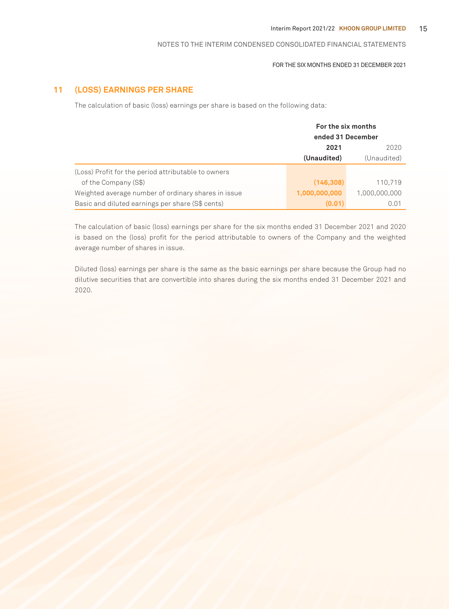#### FOR THE SIX MONTHS ENDED 31 DECEMBER 2021

### **11 (LOSS) EARNINGS PER SHARE**

The calculation of basic (loss) earnings per share is based on the following data:

|                                                     | For the six months<br>ended 31 December |               |
|-----------------------------------------------------|-----------------------------------------|---------------|
|                                                     | 2021                                    | 2020          |
|                                                     | (Unaudited)                             | (Unaudited)   |
| (Loss) Profit for the period attributable to owners |                                         |               |
| of the Company (S\$)                                | (146, 308)                              | 110.719       |
| Weighted average number of ordinary shares in issue | 1,000,000,000                           | 1,000,000,000 |
| Basic and diluted earnings per share (S\$ cents)    | (0.01)                                  | 0.01          |

The calculation of basic (loss) earnings per share for the six months ended 31 December 2021 and 2020 is based on the (loss) profit for the period attributable to owners of the Company and the weighted average number of shares in issue.

Diluted (loss) earnings per share is the same as the basic earnings per share because the Group had no dilutive securities that are convertible into shares during the six months ended 31 December 2021 and 2020.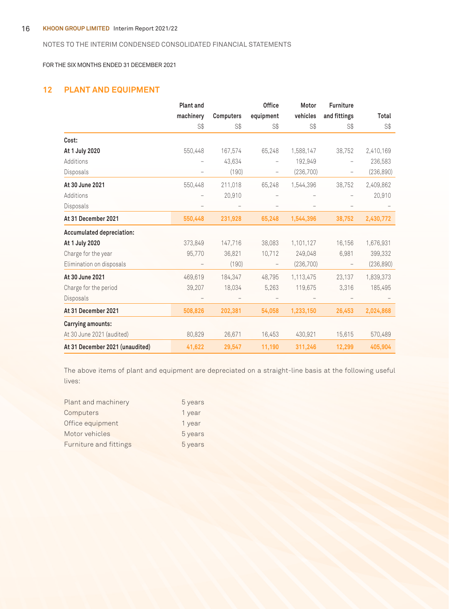#### 16 **KHOON GROUP LIMITED** Interim Report 2021/22

### NOTES TO THE INTERIM CONDENSED CONSOLIDATED FINANCIAL STATEMENTS

FOR THE SIX MONTHS ENDED 31 DECEMBER 2021

### **12 PLANT AND EQUIPMENT**

|                                 | <b>Plant and</b>         |                  | <b>Office</b>            | Motor     | <b>Furniture</b>         |            |
|---------------------------------|--------------------------|------------------|--------------------------|-----------|--------------------------|------------|
|                                 | machinery                | <b>Computers</b> | equipment                | vehicles  | and fittings             | Total      |
|                                 | S\$                      | S\$              | S\$                      | S\$       | S\$                      | S\$        |
| Cost:                           |                          |                  |                          |           |                          |            |
| At 1 July 2020                  | 550,448                  | 167,574          | 65,248                   | 1,588,147 | 38,752                   | 2,410,169  |
| Additions                       |                          | 43,634           |                          | 192,949   |                          | 236,583    |
| Disposals                       |                          | (190)            | -                        | (236,700) |                          | (236, 890) |
| At 30 June 2021                 | 550,448                  | 211,018          | 65,248                   | 1,544,396 | 38,752                   | 2,409,862  |
| Additions                       |                          | 20,910           |                          |           |                          | 20,910     |
| Disposals                       | $\overline{\phantom{0}}$ |                  |                          |           |                          |            |
| At 31 December 2021             | 550,448                  | 231,928          | 65,248                   | 1,544,396 | 38,752                   | 2,430,772  |
| Accumulated depreciation:       |                          |                  |                          |           |                          |            |
| At 1 July 2020                  | 373,849                  | 147,716          | 38,083                   | 1,101,127 | 16,156                   | 1,676,931  |
| Charge for the year             | 95,770                   | 36,821           | 10,712                   | 249,048   | 6,981                    | 399,332    |
| Elimination on disposals        |                          | (190)            | $\overline{\phantom{0}}$ | (236,700) | $\overline{\phantom{a}}$ | (236, 890) |
| At 30 June 2021                 | 469,619                  | 184,347          | 48,795                   | 1,113,475 | 23,137                   | 1,839,373  |
| Charge for the period           | 39,207                   | 18,034           | 5,263                    | 119,675   | 3,316                    | 185,495    |
| Disposals                       |                          |                  |                          |           |                          |            |
| At 31 December 2021             | 508,826                  | 202,381          | 54.058                   | 1,233,150 | 26,453                   | 2,024,868  |
| Carrying amounts:               |                          |                  |                          |           |                          |            |
| At 30 June 2021 (audited)       | 80,829                   | 26,671           | 16,453                   | 430,921   | 15,615                   | 570,489    |
| At 31 December 2021 (unaudited) | 41,622                   | 29,547           | 11,190                   | 311,246   | 12,299                   | 405,904    |

The above items of plant and equipment are depreciated on a straight-line basis at the following useful lives:

| Plant and machinery    | 5 years |
|------------------------|---------|
| Computers              | 1 year  |
| Office equipment       | 1 year  |
| Motor vehicles         | 5 years |
| Furniture and fittings | 5 years |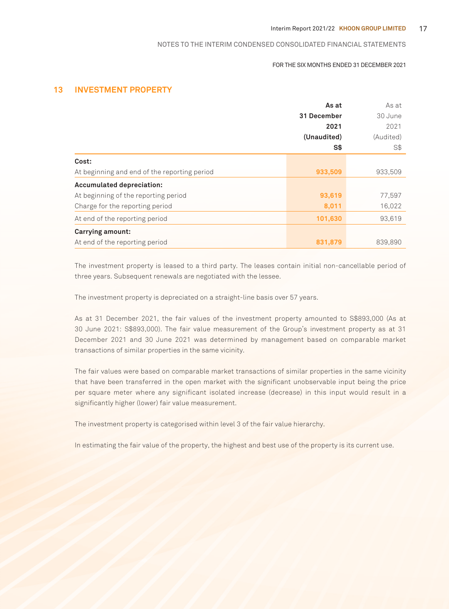#### FOR THE SIX MONTHS ENDED 31 DECEMBER 2021

### **13 INVESTMENT PROPERTY**

|                                              | As at       | As at     |
|----------------------------------------------|-------------|-----------|
|                                              | 31 December | 30 June   |
|                                              | 2021        | 2021      |
|                                              | (Unaudited) | (Audited) |
|                                              | S\$         | S\$       |
| Cost:                                        |             |           |
| At beginning and end of the reporting period | 933,509     | 933,509   |
| <b>Accumulated depreciation:</b>             |             |           |
| At beginning of the reporting period         | 93,619      | 77,597    |
| Charge for the reporting period              | 8,011       | 16,022    |
| At end of the reporting period               | 101,630     | 93,619    |
| Carrying amount:                             |             |           |
| At end of the reporting period               | 831,879     | 839,890   |

The investment property is leased to a third party. The leases contain initial non-cancellable period of three years. Subsequent renewals are negotiated with the lessee.

The investment property is depreciated on a straight-line basis over 57 years.

As at 31 December 2021, the fair values of the investment property amounted to S\$893,000 (As at 30 June 2021: S\$893,000). The fair value measurement of the Group's investment property as at 31 December 2021 and 30 June 2021 was determined by management based on comparable market transactions of similar properties in the same vicinity.

The fair values were based on comparable market transactions of similar properties in the same vicinity that have been transferred in the open market with the significant unobservable input being the price per square meter where any significant isolated increase (decrease) in this input would result in a significantly higher (lower) fair value measurement.

The investment property is categorised within level 3 of the fair value hierarchy.

In estimating the fair value of the property, the highest and best use of the property is its current use.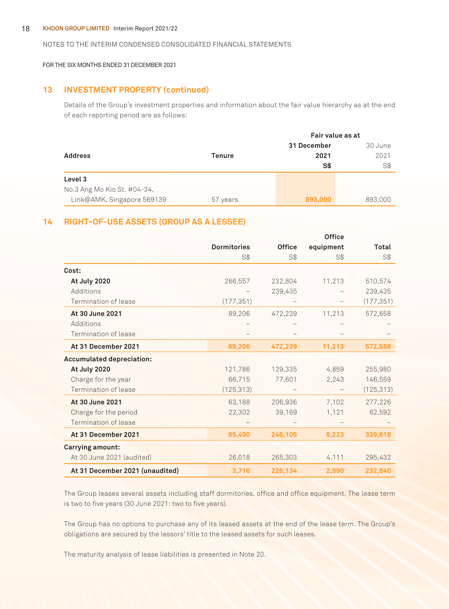#### 18 **KHOON GROUP LIMITED** Interim Report 2021/22

#### NOTES TO THE INTERIM CONDENSED CONSOLIDATED FINANCIAL STATEMENTS

#### FOR THE SIX MONTHS ENDED 31 DECEMBER 2021

### **13 INVESTMENT PROPERTY (continued)**

Details of the Group's investment properties and information about the fair value hierarchy as at the end of each reporting period are as follows:

|                             |               | Fair value as at |         |  |
|-----------------------------|---------------|------------------|---------|--|
|                             |               | 31 December      | 30 June |  |
| <b>Address</b>              | <b>Tenure</b> | 2021             | 2021    |  |
|                             |               | S\$              | S\$     |  |
| Level 3                     |               |                  |         |  |
| No.3 Ang Mo Kio St. #04-34, |               |                  |         |  |
| Link@AMK, Singapore 569139  | 57 years      | 893,000          | 893,000 |  |

### **14 RIGHT-OF-USE ASSETS (GROUP AS A LESSEE)**

|                                  | <b>Dormitories</b> | <b>Office</b> | equipment | Total      |
|----------------------------------|--------------------|---------------|-----------|------------|
|                                  | S\$                | $S$ \$        | S\$       | S\$        |
| Cost:                            |                    |               |           |            |
| At July 2020                     | 266,557            | 232,804       | 11,213    | 510,574    |
| Additions                        |                    | 239,435       |           | 239,435    |
| Termination of lease             | (177, 351)         |               |           | (177, 351) |
| At 30 June 2021                  | 89,206             | 472,239       | 11,213    | 572,658    |
| Additions                        |                    |               |           |            |
| Termination of lease             |                    |               |           |            |
| At 31 December 2021              | 89,206             | 472,239       | 11,213    | 572,658    |
| <b>Accumulated depreciation:</b> |                    |               |           |            |
| At July 2020                     | 121,786            | 129,335       | 4,859     | 255,980    |
| Charge for the year              | 66,715             | 77,601        | 2,243     | 146,559    |
| Termination of lease             | (125, 313)         |               |           | (125, 313) |
| At 30 June 2021                  | 63,188             | 206,936       | 7,102     | 277,226    |
| Charge for the period            | 22,302             | 39,169        | 1,121     | 62,592     |
| Termination of lease             |                    |               |           |            |
| At 31 December 2021              | 85,490             | 246,105       | 8,223     | 339,818    |
| <b>Carrying amount:</b>          |                    |               |           |            |
| At 30 June 2021 (audited)        | 26,018             | 265,303       | 4,111     | 295,432    |
| At 31 December 2021 (unaudited)  | 3,716              | 226,134       | 2,990     | 232,840    |

The Group leases several assets including staff dormitories, office and office equipment. The lease term is two to five years (30 June 2021: two to five years).

The Group has no options to purchase any of its leased assets at the end of the lease term. The Group's obligations are secured by the lessors' title to the leased assets for such leases.

The maturity analysis of lease liabilities is presented in Note 20.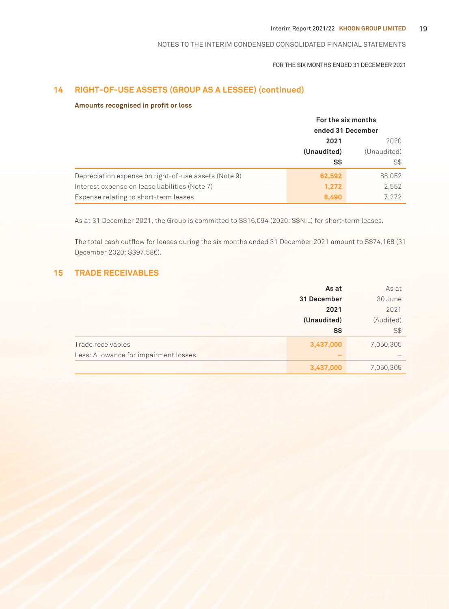#### FOR THE SIX MONTHS ENDED 31 DECEMBER 2021

### **14 RIGHT-OF-USE ASSETS (GROUP AS A LESSEE) (continued)**

#### **Amounts recognised in profit or loss**

|                                                      | For the six months |             |
|------------------------------------------------------|--------------------|-------------|
|                                                      | ended 31 December  |             |
|                                                      | 2021<br>2020       |             |
|                                                      | (Unaudited)        | (Unaudited) |
|                                                      | S\$                | S\$         |
| Depreciation expense on right-of-use assets (Note 9) | 62,592             | 88,052      |
| Interest expense on lease liabilities (Note 7)       | 1,272              | 2,552       |
| Expense relating to short-term leases                | 8,490              | 7.272       |

As at 31 December 2021, the Group is committed to S\$16,094 (2020: S\$NIL) for short-term leases.

The total cash outflow for leases during the six months ended 31 December 2021 amount to S\$74,168 (31 December 2020: S\$97,586).

### **15 TRADE RECEIVABLES**

|                                       | As at       | As at     |
|---------------------------------------|-------------|-----------|
|                                       | 31 December | 30 June   |
|                                       | 2021        | 2021      |
|                                       | (Unaudited) | (Audited) |
|                                       | S\$         | S\$       |
| Trade receivables                     | 3,437,000   | 7,050,305 |
| Less: Allowance for impairment losses |             |           |
|                                       | 3,437,000   | 7,050,305 |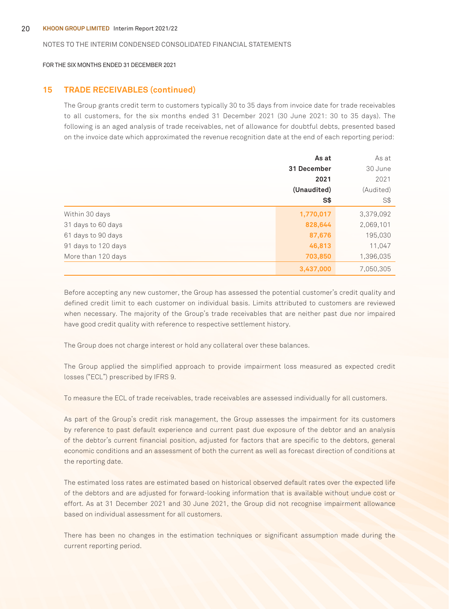FOR THE SIX MONTHS ENDED 31 DECEMBER 2021

#### **15 TRADE RECEIVABLES (continued)**

The Group grants credit term to customers typically 30 to 35 days from invoice date for trade receivables to all customers, for the six months ended 31 December 2021 (30 June 2021: 30 to 35 days). The following is an aged analysis of trade receivables, net of allowance for doubtful debts, presented based on the invoice date which approximated the revenue recognition date at the end of each reporting period:

|                     | As at       | As at     |
|---------------------|-------------|-----------|
|                     | 31 December | 30 June   |
|                     | 2021        | 2021      |
|                     | (Unaudited) | (Audited) |
|                     | S\$         | S\$       |
| Within 30 days      | 1,770,017   | 3,379,092 |
| 31 days to 60 days  | 828,644     | 2,069,101 |
| 61 days to 90 days  | 87,676      | 195,030   |
| 91 days to 120 days | 46,813      | 11,047    |
| More than 120 days  | 703,850     | 1,396,035 |
|                     | 3,437,000   | 7,050,305 |

Before accepting any new customer, the Group has assessed the potential customer's credit quality and defined credit limit to each customer on individual basis. Limits attributed to customers are reviewed when necessary. The majority of the Group's trade receivables that are neither past due nor impaired have good credit quality with reference to respective settlement history.

The Group does not charge interest or hold any collateral over these balances.

The Group applied the simplified approach to provide impairment loss measured as expected credit losses ("ECL") prescribed by IFRS 9.

To measure the ECL of trade receivables, trade receivables are assessed individually for all customers.

As part of the Group's credit risk management, the Group assesses the impairment for its customers by reference to past default experience and current past due exposure of the debtor and an analysis of the debtor's current financial position, adjusted for factors that are specific to the debtors, general economic conditions and an assessment of both the current as well as forecast direction of conditions at the reporting date.

The estimated loss rates are estimated based on historical observed default rates over the expected life of the debtors and are adjusted for forward-looking information that is available without undue cost or effort. As at 31 December 2021 and 30 June 2021, the Group did not recognise impairment allowance based on individual assessment for all customers.

There has been no changes in the estimation techniques or significant assumption made during the current reporting period.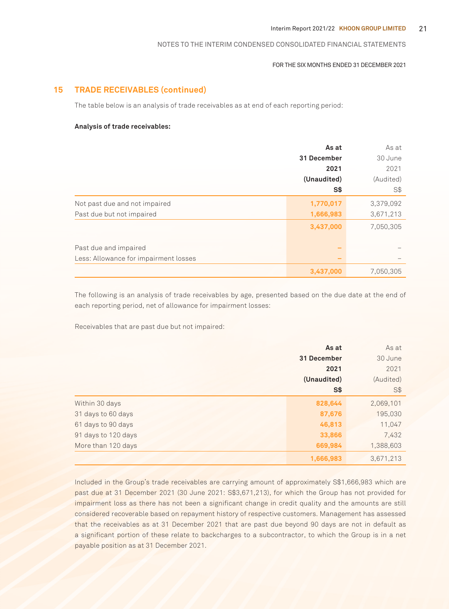#### FOR THE SIX MONTHS ENDED 31 DECEMBER 2021

### **15 TRADE RECEIVABLES (continued)**

The table below is an analysis of trade receivables as at end of each reporting period:

#### **Analysis of trade receivables:**

|                                       | As at       | As at     |
|---------------------------------------|-------------|-----------|
|                                       | 31 December | 30 June   |
|                                       | 2021        | 2021      |
|                                       | (Unaudited) | (Audited) |
|                                       | S\$         | S\$       |
| Not past due and not impaired         | 1,770,017   | 3,379,092 |
| Past due but not impaired             | 1,666,983   | 3,671,213 |
|                                       | 3,437,000   | 7,050,305 |
|                                       |             |           |
| Past due and impaired                 |             |           |
| Less: Allowance for impairment losses |             |           |
|                                       | 3,437,000   | 7,050,305 |

The following is an analysis of trade receivables by age, presented based on the due date at the end of each reporting period, net of allowance for impairment losses:

Receivables that are past due but not impaired:

|                     | As at       | As at     |
|---------------------|-------------|-----------|
|                     | 31 December | 30 June   |
|                     | 2021        | 2021      |
|                     | (Unaudited) | (Audited) |
|                     | S\$         | S\$       |
| Within 30 days      | 828,644     | 2,069,101 |
| 31 days to 60 days  | 87,676      | 195,030   |
| 61 days to 90 days  | 46,813      | 11,047    |
| 91 days to 120 days | 33,866      | 7,432     |
| More than 120 days  | 669,984     | 1,388,603 |
|                     | 1,666,983   | 3,671,213 |

Included in the Group's trade receivables are carrying amount of approximately S\$1,666,983 which are past due at 31 December 2021 (30 June 2021: S\$3,671,213), for which the Group has not provided for impairment loss as there has not been a significant change in credit quality and the amounts are still considered recoverable based on repayment history of respective customers. Management has assessed that the receivables as at 31 December 2021 that are past due beyond 90 days are not in default as a significant portion of these relate to backcharges to a subcontractor, to which the Group is in a net payable position as at 31 December 2021.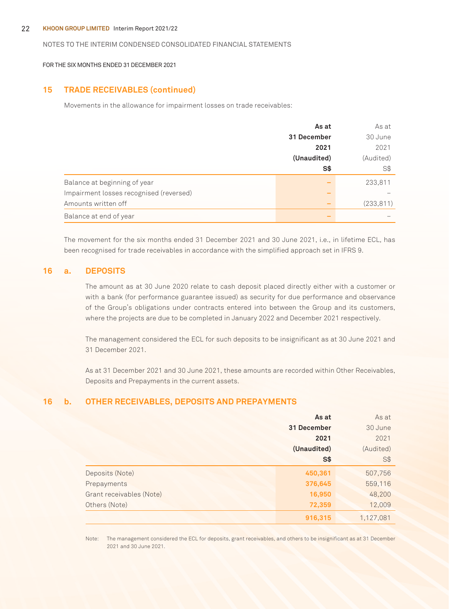#### 22 **KHOON GROUP LIMITED** Interim Report 2021/22

#### NOTES TO THE INTERIM CONDENSED CONSOLIDATED FINANCIAL STATEMENTS

FOR THE SIX MONTHS ENDED 31 DECEMBER 2021

#### **15 TRADE RECEIVABLES (continued)**

Movements in the allowance for impairment losses on trade receivables:

|                                         | As at       | As at      |
|-----------------------------------------|-------------|------------|
|                                         | 31 December | 30 June    |
|                                         | 2021        | 2021       |
|                                         | (Unaudited) | (Audited)  |
|                                         | S\$         | S\$        |
| Balance at beginning of year            |             | 233,811    |
| Impairment losses recognised (reversed) |             |            |
| Amounts written off                     |             | (233, 811) |
| Balance at end of year                  |             |            |

The movement for the six months ended 31 December 2021 and 30 June 2021, i.e., in lifetime ECL, has been recognised for trade receivables in accordance with the simplified approach set in IFRS 9.

### **16 a. DEPOSITS**

The amount as at 30 June 2020 relate to cash deposit placed directly either with a customer or with a bank (for performance guarantee issued) as security for due performance and observance of the Group's obligations under contracts entered into between the Group and its customers, where the projects are due to be completed in January 2022 and December 2021 respectively.

The management considered the ECL for such deposits to be insignificant as at 30 June 2021 and 31 December 2021.

As at 31 December 2021 and 30 June 2021, these amounts are recorded within Other Receivables, Deposits and Prepayments in the current assets.

### **16 b. OTHER RECEIVABLES, DEPOSITS AND PREPAYMENTS**

|                          | As at       | As at     |
|--------------------------|-------------|-----------|
|                          | 31 December | 30 June   |
|                          | 2021        | 2021      |
|                          | (Unaudited) | (Audited) |
|                          | <b>S\$</b>  | S\$       |
| Deposits (Note)          | 450,361     | 507,756   |
| Prepayments              | 376,645     | 559,116   |
| Grant receivables (Note) | 16,950      | 48,200    |
| Others (Note)            | 72,359      | 12,009    |
|                          | 916,315     | 1,127,081 |

Note: The management considered the ECL for deposits, grant receivables, and others to be insignificant as at 31 December 2021 and 30 June 2021.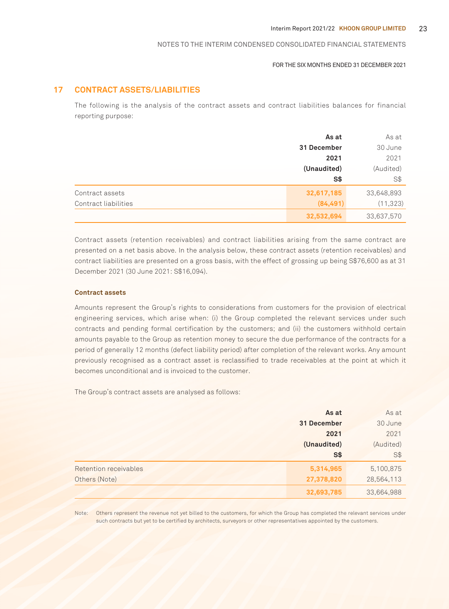#### FOR THE SIX MONTHS ENDED 31 DECEMBER 2021

### **17 CONTRACT ASSETS/LIABILITIES**

The following is the analysis of the contract assets and contract liabilities balances for financial reporting purpose:

|                      | As at       | As at      |
|----------------------|-------------|------------|
|                      | 31 December | 30 June    |
|                      | 2021        | 2021       |
|                      | (Unaudited) | (Audited)  |
|                      | S\$         | S\$        |
| Contract assets      | 32,617,185  | 33,648,893 |
| Contract liabilities | (84, 491)   | (11, 323)  |
|                      | 32,532,694  | 33,637,570 |

Contract assets (retention receivables) and contract liabilities arising from the same contract are presented on a net basis above. In the analysis below, these contract assets (retention receivables) and contract liabilities are presented on a gross basis, with the effect of grossing up being S\$76,600 as at 31 December 2021 (30 June 2021: S\$16,094).

#### **Contract assets**

Amounts represent the Group's rights to considerations from customers for the provision of electrical engineering services, which arise when: (i) the Group completed the relevant services under such contracts and pending formal certification by the customers; and (ii) the customers withhold certain amounts payable to the Group as retention money to secure the due performance of the contracts for a period of generally 12 months (defect liability period) after completion of the relevant works. Any amount previously recognised as a contract asset is reclassified to trade receivables at the point at which it becomes unconditional and is invoiced to the customer.

The Group's contract assets are analysed as follows:

|                              | As at       | As at      |
|------------------------------|-------------|------------|
|                              | 31 December | 30 June    |
|                              | 2021        | 2021       |
|                              | (Unaudited) | (Audited)  |
|                              | $S*$        | S\$        |
| <b>Retention receivables</b> | 5,314,965   | 5,100,875  |
| Others (Note)                | 27,378,820  | 28,564,113 |
|                              | 32,693,785  | 33,664,988 |

Note: Others represent the revenue not yet billed to the customers, for which the Group has completed the relevant services under such contracts but yet to be certified by architects, surveyors or other representatives appointed by the customers.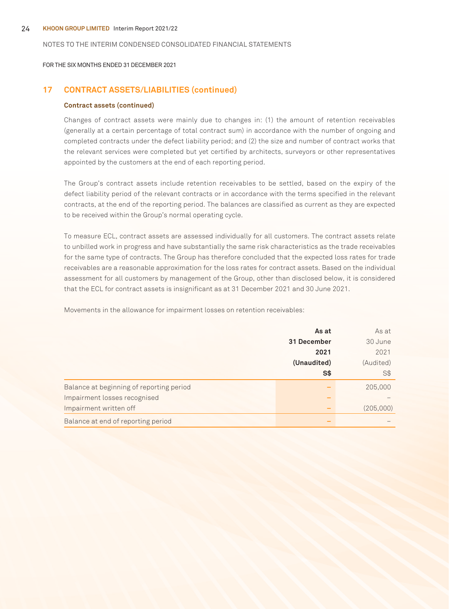FOR THE SIX MONTHS ENDED 31 DECEMBER 2021

### **17 CONTRACT ASSETS/LIABILITIES (continued)**

#### **Contract assets (continued)**

Changes of contract assets were mainly due to changes in: (1) the amount of retention receivables (generally at a certain percentage of total contract sum) in accordance with the number of ongoing and completed contracts under the defect liability period; and (2) the size and number of contract works that the relevant services were completed but yet certified by architects, surveyors or other representatives appointed by the customers at the end of each reporting period.

The Group's contract assets include retention receivables to be settled, based on the expiry of the defect liability period of the relevant contracts or in accordance with the terms specified in the relevant contracts, at the end of the reporting period. The balances are classified as current as they are expected to be received within the Group's normal operating cycle.

To measure ECL, contract assets are assessed individually for all customers. The contract assets relate to unbilled work in progress and have substantially the same risk characteristics as the trade receivables for the same type of contracts. The Group has therefore concluded that the expected loss rates for trade receivables are a reasonable approximation for the loss rates for contract assets. Based on the individual assessment for all customers by management of the Group, other than disclosed below, it is considered that the ECL for contract assets is insignificant as at 31 December 2021 and 30 June 2021.

Movements in the allowance for impairment losses on retention receivables:

|                                          | As at       | As at     |
|------------------------------------------|-------------|-----------|
|                                          | 31 December | 30 June   |
|                                          | 2021        | 2021      |
|                                          | (Unaudited) | (Audited) |
|                                          | S\$         | S\$       |
| Balance at beginning of reporting period |             | 205,000   |
| Impairment losses recognised             |             |           |
| Impairment written off                   |             | (205,000) |
| Balance at end of reporting period       |             |           |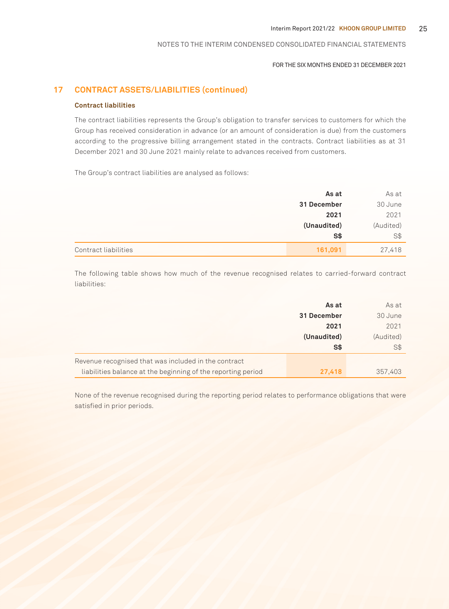#### FOR THE SIX MONTHS ENDED 31 DECEMBER 2021

### **17 CONTRACT ASSETS/LIABILITIES (continued)**

#### **Contract liabilities**

The contract liabilities represents the Group's obligation to transfer services to customers for which the Group has received consideration in advance (or an amount of consideration is due) from the customers according to the progressive billing arrangement stated in the contracts. Contract liabilities as at 31 December 2021 and 30 June 2021 mainly relate to advances received from customers.

The Group's contract liabilities are analysed as follows:

|                      | As at       | As at     |
|----------------------|-------------|-----------|
|                      | 31 December | 30 June   |
|                      | 2021        | 2021      |
|                      | (Unaudited) | (Audited) |
|                      | $S*$        | S\$       |
| Contract liabilities | 161,091     | 27,418    |

The following table shows how much of the revenue recognised relates to carried-forward contract liabilities:

|                                                              | As at       | As at     |
|--------------------------------------------------------------|-------------|-----------|
|                                                              | 31 December | 30 June   |
|                                                              | 2021        | 2021      |
|                                                              | (Unaudited) | (Audited) |
|                                                              | S\$         | S\$       |
| Revenue recognised that was included in the contract         |             |           |
| liabilities balance at the beginning of the reporting period | 27,418      | 357,403   |

None of the revenue recognised during the reporting period relates to performance obligations that were satisfied in prior periods.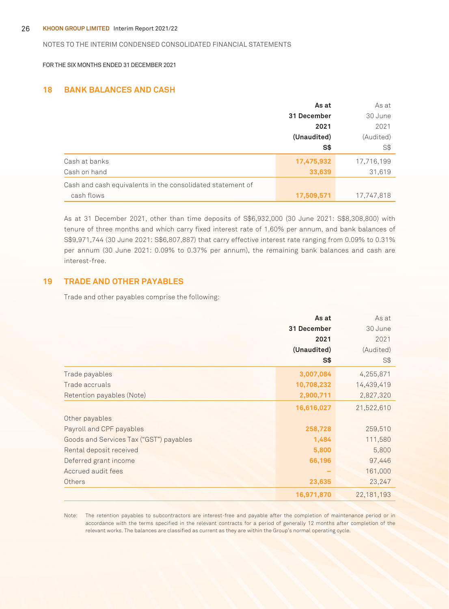FOR THE SIX MONTHS ENDED 31 DECEMBER 2021

### **18 BANK BALANCES AND CASH**

|                                                            | As at       | As at      |
|------------------------------------------------------------|-------------|------------|
|                                                            | 31 December | 30 June    |
|                                                            | 2021        | 2021       |
|                                                            | (Unaudited) | (Audited)  |
|                                                            | S\$         | S\$        |
| Cash at banks                                              | 17,475,932  | 17,716,199 |
| Cash on hand                                               | 33,639      | 31,619     |
| Cash and cash equivalents in the consolidated statement of |             |            |
| cash flows                                                 | 17,509,571  | 17,747,818 |

As at 31 December 2021, other than time deposits of S\$6,932,000 (30 June 2021: S\$8,308,800) with tenure of three months and which carry fixed interest rate of 1.60% per annum, and bank balances of S\$9,971,744 (30 June 2021: S\$6,807,887) that carry effective interest rate ranging from 0.09% to 0.31% per annum (30 June 2021: 0.09% to 0.37% per annum), the remaining bank balances and cash are interest-free.

### **19 TRADE AND OTHER PAYABLES**

Trade and other payables comprise the following:

|                                         | As at       | As at        |
|-----------------------------------------|-------------|--------------|
|                                         | 31 December | 30 June      |
|                                         | 2021        | 2021         |
|                                         | (Unaudited) | (Audited)    |
|                                         | S\$         | S\$          |
| Trade payables                          | 3,007,084   | 4,255,871    |
| Trade accruals                          | 10,708,232  | 14,439,419   |
| Retention payables (Note)               | 2,900,711   | 2,827,320    |
|                                         | 16,616,027  | 21,522,610   |
| Other payables                          |             |              |
| Payroll and CPF payables                | 258,728     | 259,510      |
| Goods and Services Tax ("GST") payables | 1,484       | 111,580      |
| Rental deposit received                 | 5,800       | 5,800        |
| Deferred grant income                   | 66,196      | 97,446       |
| Accrued audit fees                      |             | 161,000      |
| Others                                  | 23,635      | 23,247       |
|                                         | 16,971,870  | 22, 181, 193 |

Note: The retention payables to subcontractors are interest-free and payable after the completion of maintenance period or in accordance with the terms specified in the relevant contracts for a period of generally 12 months after completion of the relevant works. The balances are classified as current as they are within the Group's normal operating cycle.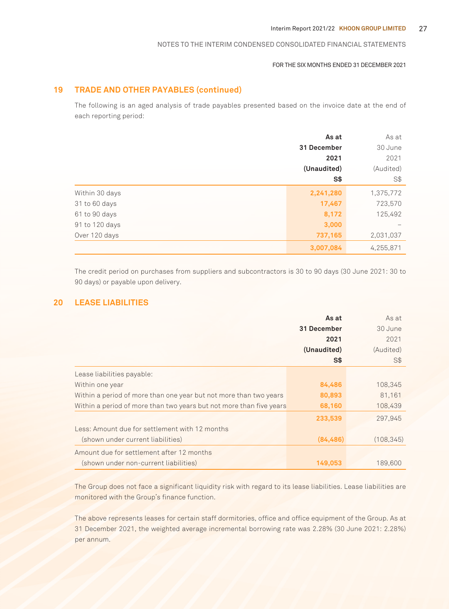#### FOR THE SIX MONTHS ENDED 31 DECEMBER 2021

### **19 TRADE AND OTHER PAYABLES (continued)**

The following is an aged analysis of trade payables presented based on the invoice date at the end of each reporting period:

|                | As at       | As at     |
|----------------|-------------|-----------|
|                | 31 December | 30 June   |
|                | 2021        | 2021      |
|                | (Unaudited) | (Audited) |
|                | S\$         | S\$       |
| Within 30 days | 2,241,280   | 1,375,772 |
| 31 to 60 days  | 17,467      | 723,570   |
| 61 to 90 days  | 8,172       | 125,492   |
| 91 to 120 days | 3,000       |           |
| Over 120 days  | 737,165     | 2,031,037 |
|                | 3,007,084   | 4,255,871 |

The credit period on purchases from suppliers and subcontractors is 30 to 90 days (30 June 2021: 30 to 90 days) or payable upon delivery.

### **20 LEASE LIABILITIES**

|                                                                     | As at       | As at      |
|---------------------------------------------------------------------|-------------|------------|
|                                                                     | 31 December | 30 June    |
|                                                                     | 2021        | 2021       |
|                                                                     | (Unaudited) | (Audited)  |
|                                                                     | S\$         | S\$        |
| Lease liabilities payable:                                          |             |            |
| Within one year                                                     | 84,486      | 108,345    |
| Within a period of more than one year but not more than two years   | 80,893      | 81,161     |
| Within a period of more than two years but not more than five years | 68,160      | 108,439    |
|                                                                     | 233,539     | 297.945    |
| Less: Amount due for settlement with 12 months                      |             |            |
| (shown under current liabilities)                                   | (84, 486)   | (108, 345) |
| Amount due for settlement after 12 months                           |             |            |
| (shown under non-current liabilities)                               | 149.053     | 189,600    |

The Group does not face a significant liquidity risk with regard to its lease liabilities. Lease liabilities are monitored with the Group's finance function.

The above represents leases for certain staff dormitories, office and office equipment of the Group. As at 31 December 2021, the weighted average incremental borrowing rate was 2.28% (30 June 2021: 2.28%) per annum.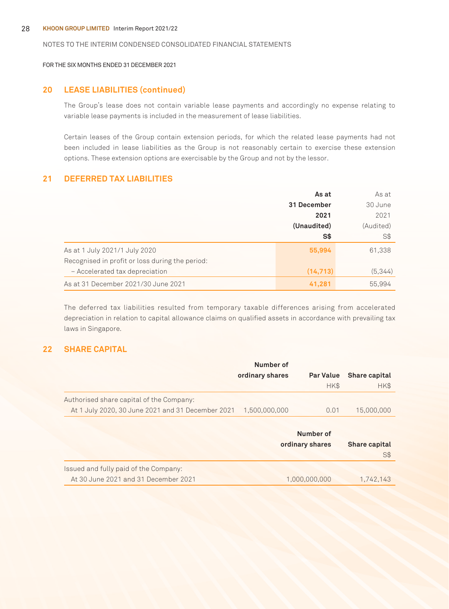FOR THE SIX MONTHS ENDED 31 DECEMBER 2021

### **20 LEASE LIABILITIES (continued)**

The Group's lease does not contain variable lease payments and accordingly no expense relating to variable lease payments is included in the measurement of lease liabilities.

Certain leases of the Group contain extension periods, for which the related lease payments had not been included in lease liabilities as the Group is not reasonably certain to exercise these extension options. These extension options are exercisable by the Group and not by the lessor.

### **21 DEFERRED TAX LIABILITIES**

|                                                 | As at          | As at     |  |
|-------------------------------------------------|----------------|-----------|--|
|                                                 | 31 December    | 30 June   |  |
|                                                 | 2021           | 2021      |  |
|                                                 | (Unaudited)    | (Audited) |  |
|                                                 | S <sub>3</sub> | S\$       |  |
| As at 1 July 2021/1 July 2020                   | 55,994         | 61,338    |  |
| Recognised in profit or loss during the period: |                |           |  |
| - Accelerated tax depreciation                  | (14, 713)      | (5,344)   |  |
| As at 31 December 2021/30 June 2021             | 41,281         | 55.994    |  |

The deferred tax liabilities resulted from temporary taxable differences arising from accelerated depreciation in relation to capital allowance claims on qualified assets in accordance with prevailing tax laws in Singapore.

### **22 SHARE CAPITAL**

|                                                   | Number of       |                  |                      |
|---------------------------------------------------|-----------------|------------------|----------------------|
|                                                   | ordinary shares | <b>Par Value</b> | Share capital        |
|                                                   |                 | HK\$             | HK\$                 |
| Authorised share capital of the Company:          |                 |                  |                      |
| At 1 July 2020, 30 June 2021 and 31 December 2021 | 1.500.000.000   | 0.01             | 15,000,000           |
|                                                   |                 |                  |                      |
|                                                   |                 | Number of        |                      |
|                                                   |                 | ordinary shares  | <b>Share capital</b> |
|                                                   |                 |                  | S\$                  |
| Issued and fully paid of the Company:             |                 |                  |                      |
| At 30 June 2021 and 31 December 2021              |                 | 1,000,000,000    | 1,742,143            |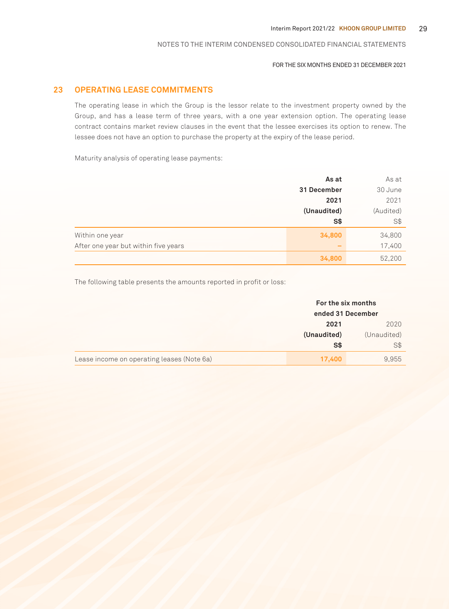#### FOR THE SIX MONTHS ENDED 31 DECEMBER 2021

### **23 OPERATING LEASE COMMITMENTS**

The operating lease in which the Group is the lessor relate to the investment property owned by the Group, and has a lease term of three years, with a one year extension option. The operating lease contract contains market review clauses in the event that the lessee exercises its option to renew. The lessee does not have an option to purchase the property at the expiry of the lease period.

Maturity analysis of operating lease payments:

|                                      | As at       | As at     |
|--------------------------------------|-------------|-----------|
|                                      | 31 December | 30 June   |
|                                      | 2021        | 2021      |
|                                      | (Unaudited) | (Audited) |
|                                      | S\$         | S\$       |
| Within one year                      | 34,800      | 34,800    |
| After one year but within five years |             | 17,400    |
|                                      | 34,800      | 52,200    |

The following table presents the amounts reported in profit or loss:

|                                            | For the six months<br>ended 31 December |             |
|--------------------------------------------|-----------------------------------------|-------------|
|                                            | 2021                                    | 2020        |
|                                            | (Unaudited)                             | (Unaudited) |
|                                            | S\$                                     | S\$         |
| Lease income on operating leases (Note 6a) | 17,400                                  | 9,955       |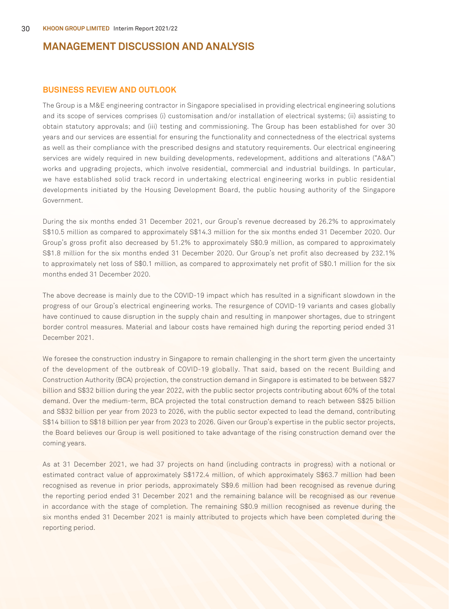### **BUSINESS REVIEW AND OUTLOOK**

The Group is a M&E engineering contractor in Singapore specialised in providing electrical engineering solutions and its scope of services comprises (i) customisation and/or installation of electrical systems; (ii) assisting to obtain statutory approvals; and (iii) testing and commissioning. The Group has been established for over 30 years and our services are essential for ensuring the functionality and connectedness of the electrical systems as well as their compliance with the prescribed designs and statutory requirements. Our electrical engineering services are widely required in new building developments, redevelopment, additions and alterations ("A&A") works and upgrading projects, which involve residential, commercial and industrial buildings. In particular, we have established solid track record in undertaking electrical engineering works in public residential developments initiated by the Housing Development Board, the public housing authority of the Singapore Government.

During the six months ended 31 December 2021, our Group's revenue decreased by 26.2% to approximately S\$10.5 million as compared to approximately S\$14.3 million for the six months ended 31 December 2020. Our Group's gross profit also decreased by 51.2% to approximately S\$0.9 million, as compared to approximately S\$1.8 million for the six months ended 31 December 2020. Our Group's net profit also decreased by 232.1% to approximately net loss of S\$0.1 million, as compared to approximately net profit of S\$0.1 million for the six months ended 31 December 2020.

The above decrease is mainly due to the COVID-19 impact which has resulted in a significant slowdown in the progress of our Group's electrical engineering works. The resurgence of COVID-19 variants and cases globally have continued to cause disruption in the supply chain and resulting in manpower shortages, due to stringent border control measures. Material and labour costs have remained high during the reporting period ended 31 December 2021.

We foresee the construction industry in Singapore to remain challenging in the short term given the uncertainty of the development of the outbreak of COVID-19 globally. That said, based on the recent Building and Construction Authority (BCA) projection, the construction demand in Singapore is estimated to be between S\$27 billion and S\$32 billion during the year 2022, with the public sector projects contributing about 60% of the total demand. Over the medium-term, BCA projected the total construction demand to reach between S\$25 billion and S\$32 billion per year from 2023 to 2026, with the public sector expected to lead the demand, contributing S\$14 billion to S\$18 billion per year from 2023 to 2026. Given our Group's expertise in the public sector projects, the Board believes our Group is well positioned to take advantage of the rising construction demand over the coming years.

As at 31 December 2021, we had 37 projects on hand (including contracts in progress) with a notional or estimated contract value of approximately S\$172.4 million, of which approximately S\$63.7 million had been recognised as revenue in prior periods, approximately S\$9.6 million had been recognised as revenue during the reporting period ended 31 December 2021 and the remaining balance will be recognised as our revenue in accordance with the stage of completion. The remaining S\$0.9 million recognised as revenue during the six months ended 31 December 2021 is mainly attributed to projects which have been completed during the reporting period.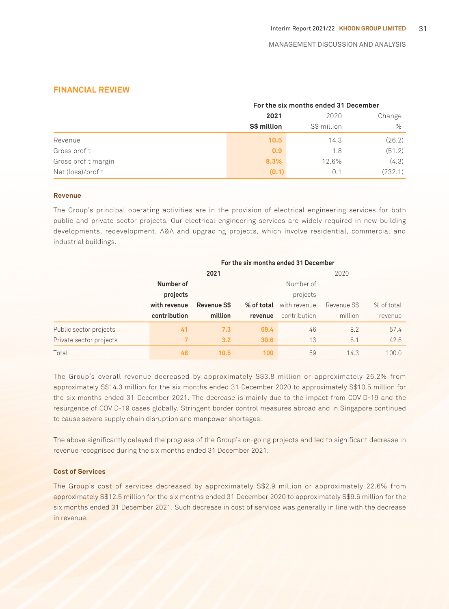### **FINANCIAL REVIEW**

|                     | For the six months ended 31 December |             |         |  |
|---------------------|--------------------------------------|-------------|---------|--|
|                     | 2021                                 | 2020        | Change  |  |
|                     | S\$ million                          | S\$ million | $\%$    |  |
| Revenue             | 10.5                                 | 14.3        | (26.2)  |  |
| Gross profit        | 0.9                                  | 1.8         | (51.2)  |  |
| Gross profit margin | 8.3%                                 | 12.6%       | (4.3)   |  |
| Net (loss)/profit   | (0.1)                                | 0.1         | (232.1) |  |

#### **Revenue**

The Group's principal operating activities are in the provision of electrical engineering services for both public and private sector projects. Our electrical engineering services are widely required in new building developments, redevelopment, A&A and upgrading projects, which involve residential, commercial and industrial buildings.

|                         |              | For the six months ended 31 December |            |              |             |            |  |
|-------------------------|--------------|--------------------------------------|------------|--------------|-------------|------------|--|
|                         |              | 2021                                 |            |              | 2020        |            |  |
|                         | Number of    |                                      |            | Number of    |             |            |  |
|                         | projects     |                                      |            | projects     |             |            |  |
|                         | with revenue | Revenue S\$                          | % of total | with revenue | Revenue S\$ | % of total |  |
|                         | contribution | million                              | revenue    | contribution | million     | revenue    |  |
| Public sector projects  | 41           | 7.3                                  | 69.4       | 46           | 8.2         | 57.4       |  |
| Private sector projects |              | 3.2                                  | 30.6       | 13           | 6.1         | 42.6       |  |
| Total                   | 48           | 10.5                                 | 100        | 59           | 14.3        | 100.0      |  |

The Group's overall revenue decreased by approximately S\$3.8 million or approximately 26.2% from approximately S\$14.3 million for the six months ended 31 December 2020 to approximately S\$10.5 million for the six months ended 31 December 2021. The decrease is mainly due to the impact from COVID-19 and the resurgence of COVID-19 cases globally. Stringent border control measures abroad and in Singapore continued to cause severe supply chain disruption and manpower shortages.

The above significantly delayed the progress of the Group's on-going projects and led to significant decrease in revenue recognised during the six months ended 31 December 2021.

#### **Cost of Services**

The Group's cost of services decreased by approximately S\$2.9 million or approximately 22.6% from approximately S\$12.5 million for the six months ended 31 December 2020 to approximately S\$9.6 million for the six months ended 31 December 2021. Such decrease in cost of services was generally in line with the decrease in revenue.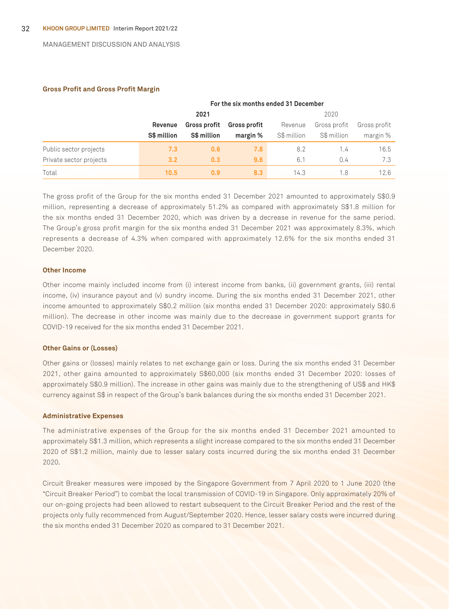#### **Gross Profit and Gross Profit Margin**

|                         | For the six months ended 31 December |                                            |          |             |              |              |
|-------------------------|--------------------------------------|--------------------------------------------|----------|-------------|--------------|--------------|
|                         |                                      | 2021                                       |          |             | 2020         |              |
|                         | Revenue                              | <b>Gross profit</b><br><b>Gross profit</b> |          |             | Gross profit | Gross profit |
|                         | S\$ million                          | S\$ million                                | margin % | S\$ million | S\$ million  | margin %     |
| Public sector projects  | 7.3                                  | 0.6                                        | 7.8      | 8.2         | 1.4          | 16.5         |
| Private sector projects | 3.2                                  | 0.3                                        | 9.6      | 6.1         | 0.4          | 7.3          |
| Total                   | 10.5                                 | 0.9                                        | 8.3      | 14.3        | 1.8          | 12.6         |

The gross profit of the Group for the six months ended 31 December 2021 amounted to approximately S\$0.9 million, representing a decrease of approximately 51.2% as compared with approximately S\$1.8 million for the six months ended 31 December 2020, which was driven by a decrease in revenue for the same period. The Group's gross profit margin for the six months ended 31 December 2021 was approximately 8.3%, which represents a decrease of 4.3% when compared with approximately 12.6% for the six months ended 31 December 2020.

#### **Other Income**

Other income mainly included income from (i) interest income from banks, (ii) government grants, (iii) rental income, (iv) insurance payout and (v) sundry income. During the six months ended 31 December 2021, other income amounted to approximately S\$0.2 million (six months ended 31 December 2020: approximately S\$0.6 million). The decrease in other income was mainly due to the decrease in government support grants for COVID-19 received for the six months ended 31 December 2021.

#### **Other Gains or (Losses)**

Other gains or (losses) mainly relates to net exchange gain or loss. During the six months ended 31 December 2021, other gains amounted to approximately S\$60,000 (six months ended 31 December 2020: losses of approximately S\$0.9 million). The increase in other gains was mainly due to the strengthening of US\$ and HK\$ currency against S\$ in respect of the Group's bank balances during the six months ended 31 December 2021.

#### **Administrative Expenses**

The administrative expenses of the Group for the six months ended 31 December 2021 amounted to approximately S\$1.3 million, which represents a slight increase compared to the six months ended 31 December 2020 of S\$1.2 million, mainly due to lesser salary costs incurred during the six months ended 31 December 2020.

Circuit Breaker measures were imposed by the Singapore Government from 7 April 2020 to 1 June 2020 (the "Circuit Breaker Period") to combat the local transmission of COVID-19 in Singapore. Only approximately 20% of our on-going projects had been allowed to restart subsequent to the Circuit Breaker Period and the rest of the projects only fully recommenced from August/September 2020. Hence, lesser salary costs were incurred during the six months ended 31 December 2020 as compared to 31 December 2021.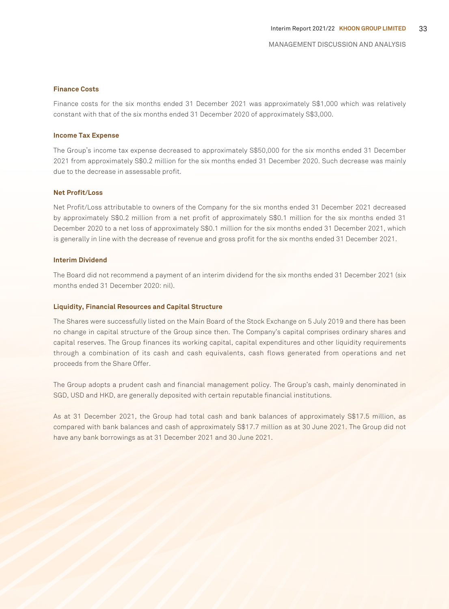#### **Finance Costs**

Finance costs for the six months ended 31 December 2021 was approximately S\$1,000 which was relatively constant with that of the six months ended 31 December 2020 of approximately S\$3,000.

#### **Income Tax Expense**

The Group's income tax expense decreased to approximately S\$50,000 for the six months ended 31 December 2021 from approximately S\$0.2 million for the six months ended 31 December 2020. Such decrease was mainly due to the decrease in assessable profit.

#### **Net Profit/Loss**

Net Profit/Loss attributable to owners of the Company for the six months ended 31 December 2021 decreased by approximately S\$0.2 million from a net profit of approximately S\$0.1 million for the six months ended 31 December 2020 to a net loss of approximately S\$0.1 million for the six months ended 31 December 2021, which is generally in line with the decrease of revenue and gross profit for the six months ended 31 December 2021.

#### **Interim Dividend**

The Board did not recommend a payment of an interim dividend for the six months ended 31 December 2021 (six months ended 31 December 2020: nil).

#### **Liquidity, Financial Resources and Capital Structure**

The Shares were successfully listed on the Main Board of the Stock Exchange on 5 July 2019 and there has been no change in capital structure of the Group since then. The Company's capital comprises ordinary shares and capital reserves. The Group finances its working capital, capital expenditures and other liquidity requirements through a combination of its cash and cash equivalents, cash flows generated from operations and net proceeds from the Share Offer.

The Group adopts a prudent cash and financial management policy. The Group's cash, mainly denominated in SGD, USD and HKD, are generally deposited with certain reputable financial institutions.

As at 31 December 2021, the Group had total cash and bank balances of approximately S\$17.5 million, as compared with bank balances and cash of approximately S\$17.7 million as at 30 June 2021. The Group did not have any bank borrowings as at 31 December 2021 and 30 June 2021.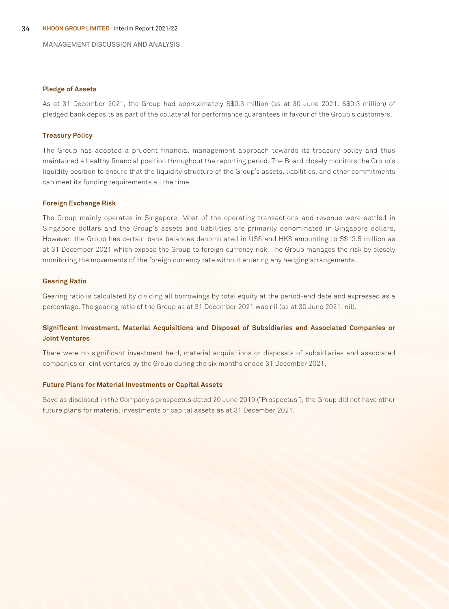#### **Pledge of Assets**

As at 31 December 2021, the Group had approximately S\$0.3 million (as at 30 June 2021: S\$0.3 million) of pledged bank deposits as part of the collateral for performance guarantees in favour of the Group's customers.

#### **Treasury Policy**

The Group has adopted a prudent financial management approach towards its treasury policy and thus maintained a healthy financial position throughout the reporting period. The Board closely monitors the Group's liquidity position to ensure that the liquidity structure of the Group's assets, liabilities, and other commitments can meet its funding requirements all the time.

#### **Foreign Exchange Risk**

The Group mainly operates in Singapore. Most of the operating transactions and revenue were settled in Singapore dollars and the Group's assets and liabilities are primarily denominated in Singapore dollars. However, the Group has certain bank balances denominated in US\$ and HK\$ amounting to S\$13.5 million as at 31 December 2021 which expose the Group to foreign currency risk. The Group manages the risk by closely monitoring the movements of the foreign currency rate without entering any hedging arrangements.

#### **Gearing Ratio**

Gearing ratio is calculated by dividing all borrowings by total equity at the period-end date and expressed as a percentage. The gearing ratio of the Group as at 31 December 2021 was nil (as at 30 June 2021: nil).

### **Significant Investment, Material Acquisitions and Disposal of Subsidiaries and Associated Companies or Joint Ventures**

There were no significant investment held, material acquisitions or disposals of subsidiaries and associated companies or joint ventures by the Group during the six months ended 31 December 2021.

#### **Future Plans for Material Investments or Capital Assets**

Save as disclosed in the Company's prospectus dated 20 June 2019 ("Prospectus"), the Group did not have other future plans for material investments or capital assets as at 31 December 2021.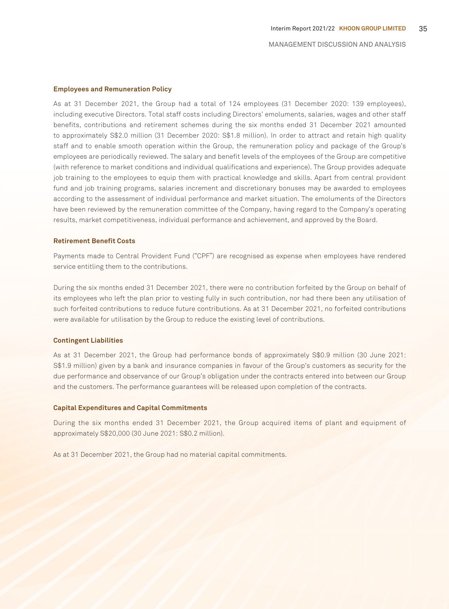#### **Employees and Remuneration Policy**

As at 31 December 2021, the Group had a total of 124 employees (31 December 2020: 139 employees), including executive Directors. Total staff costs including Directors' emoluments, salaries, wages and other staff benefits, contributions and retirement schemes during the six months ended 31 December 2021 amounted to approximately S\$2.0 million (31 December 2020: S\$1.8 million). In order to attract and retain high quality staff and to enable smooth operation within the Group, the remuneration policy and package of the Group's employees are periodically reviewed. The salary and benefit levels of the employees of the Group are competitive (with reference to market conditions and individual qualifications and experience). The Group provides adequate job training to the employees to equip them with practical knowledge and skills. Apart from central provident fund and job training programs, salaries increment and discretionary bonuses may be awarded to employees according to the assessment of individual performance and market situation. The emoluments of the Directors have been reviewed by the remuneration committee of the Company, having regard to the Company's operating results, market competitiveness, individual performance and achievement, and approved by the Board.

#### **Retirement Benefit Costs**

Payments made to Central Provident Fund ("CPF") are recognised as expense when employees have rendered service entitling them to the contributions.

During the six months ended 31 December 2021, there were no contribution forfeited by the Group on behalf of its employees who left the plan prior to vesting fully in such contribution, nor had there been any utilisation of such forfeited contributions to reduce future contributions. As at 31 December 2021, no forfeited contributions were available for utilisation by the Group to reduce the existing level of contributions.

#### **Contingent Liabilities**

As at 31 December 2021, the Group had performance bonds of approximately S\$0.9 million (30 June 2021: S\$1.9 million) given by a bank and insurance companies in favour of the Group's customers as security for the due performance and observance of our Group's obligation under the contracts entered into between our Group and the customers. The performance guarantees will be released upon completion of the contracts.

#### **Capital Expenditures and Capital Commitments**

During the six months ended 31 December 2021, the Group acquired items of plant and equipment of approximately S\$20,000 (30 June 2021: S\$0.2 million).

As at 31 December 2021, the Group had no material capital commitments.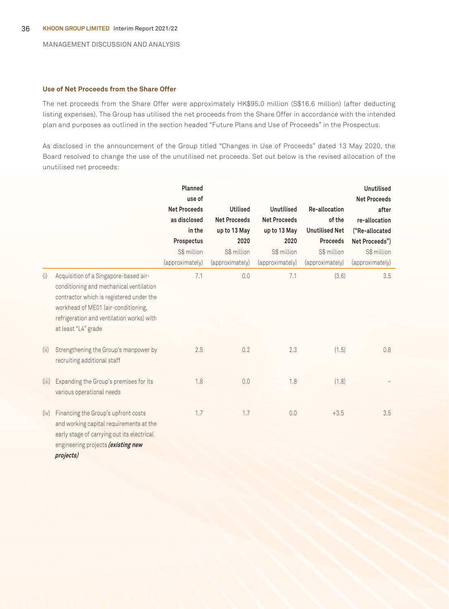#### **Use of Net Proceeds from the Share Offer**

The net proceeds from the Share Offer were approximately HK\$95.0 million (S\$16.6 million) (after deducting listing expenses). The Group has utilised the net proceeds from the Share Offer in accordance with the intended plan and purposes as outlined in the section headed "Future Plans and Use of Proceeds" in the Prospectus.

As disclosed in the announcement of the Group titled "Changes in Use of Proceeds" dated 13 May 2020, the Board resolved to change the use of the unutilised net proceeds. Set out below is the revised allocation of the unutilised net proceeds:

|       |                                                                                                                                                                                                                                         | Planned<br>use of<br><b>Net Proceeds</b><br>as disclosed<br>in the<br>Prospectus<br>S\$ million<br>(approximately) | <b>Utilised</b><br><b>Net Proceeds</b><br>up to 13 May<br>2020<br>S\$ million<br>(approximately) | Unutilised<br><b>Net Proceeds</b><br>up to 13 May<br>2020<br>S\$ million<br>(approximately) | Re-allocation<br>of the<br><b>Unutilised Net</b><br><b>Proceeds</b><br>S\$ million<br>(approximately) | <b>Unutilised</b><br><b>Net Proceeds</b><br>after<br>re-allocation<br>("Re-allocated<br>Net Proceeds")<br>S\$ million<br>(approximately) |
|-------|-----------------------------------------------------------------------------------------------------------------------------------------------------------------------------------------------------------------------------------------|--------------------------------------------------------------------------------------------------------------------|--------------------------------------------------------------------------------------------------|---------------------------------------------------------------------------------------------|-------------------------------------------------------------------------------------------------------|------------------------------------------------------------------------------------------------------------------------------------------|
| (i)   | Acquisition of a Singapore-based air-<br>conditioning and mechanical ventilation<br>contractor which is registered under the<br>workhead of ME01 (air-conditioning,<br>refrigeration and ventilation works) with<br>at least "L4" grade | 7.1                                                                                                                | 0.0                                                                                              | 7.1                                                                                         | (3.6)                                                                                                 | 3.5                                                                                                                                      |
| (ii)  | Strengthening the Group's manpower by<br>recruiting additional staff                                                                                                                                                                    | 2.5                                                                                                                | 0.2                                                                                              | 2.3                                                                                         | (1.5)                                                                                                 | 0.8                                                                                                                                      |
| (iii) | Expanding the Group's premises for its<br>various operational needs                                                                                                                                                                     | 1.8                                                                                                                | 0.0                                                                                              | 1.8                                                                                         | (1.8)                                                                                                 |                                                                                                                                          |
| (iv)  | Financing the Group's upfront costs<br>and working capital requirements at the<br>early stage of carrying out its electrical<br>engineering projects (existing new<br>projects)                                                         | 1.7                                                                                                                | 1.7                                                                                              | 0.0                                                                                         | $+3.5$                                                                                                | 3.5                                                                                                                                      |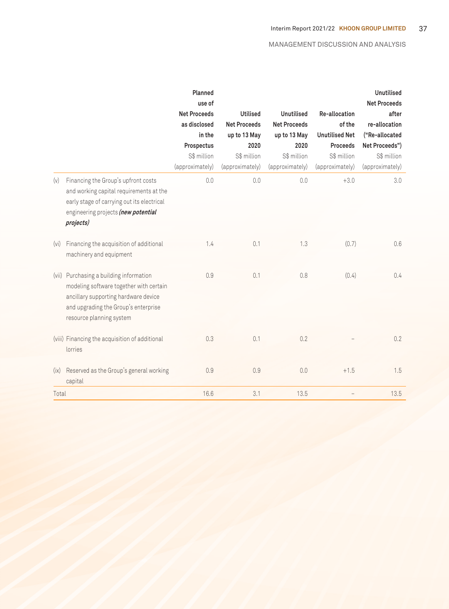|       |                                                                                                                                                                                          | Planned<br>use of<br><b>Net Proceeds</b><br>as disclosed<br>in the<br>Prospectus<br>S\$ million<br>(approximately) | <b>Utilised</b><br><b>Net Proceeds</b><br>up to 13 May<br>2020<br>S\$ million<br>(approximately) | Unutilised<br><b>Net Proceeds</b><br>up to 13 May<br>2020<br>S\$ million<br>(approximately) | Re-allocation<br>of the<br><b>Unutilised Net</b><br><b>Proceeds</b><br>S\$ million<br>(approximately) | <b>Unutilised</b><br><b>Net Proceeds</b><br>after<br>re-allocation<br>("Re-allocated<br>Net Proceeds")<br>S\$ million<br>(approximately) |
|-------|------------------------------------------------------------------------------------------------------------------------------------------------------------------------------------------|--------------------------------------------------------------------------------------------------------------------|--------------------------------------------------------------------------------------------------|---------------------------------------------------------------------------------------------|-------------------------------------------------------------------------------------------------------|------------------------------------------------------------------------------------------------------------------------------------------|
| (v)   | Financing the Group's upfront costs<br>and working capital requirements at the<br>early stage of carrying out its electrical<br>engineering projects (new potential<br>projects)         | 0.0                                                                                                                | 0.0                                                                                              | 0.0                                                                                         | $+3.0$                                                                                                | 3.0                                                                                                                                      |
| (vi)  | Financing the acquisition of additional<br>machinery and equipment                                                                                                                       | 1.4                                                                                                                | 0.1                                                                                              | 1.3                                                                                         | (0.7)                                                                                                 | 0.6                                                                                                                                      |
| (vii) | Purchasing a building information<br>modeling software together with certain<br>ancillary supporting hardware device<br>and upgrading the Group's enterprise<br>resource planning system | 0.9                                                                                                                | 0.1                                                                                              | 0.8                                                                                         | (0.4)                                                                                                 | 0.4                                                                                                                                      |
|       | (viii) Financing the acquisition of additional<br>lorries                                                                                                                                | 0.3                                                                                                                | 0.1                                                                                              | 0.2                                                                                         |                                                                                                       | 0.2                                                                                                                                      |
| (ix)  | Reserved as the Group's general working<br>capital                                                                                                                                       | 0.9                                                                                                                | 0.9                                                                                              | 0.0                                                                                         | $+1.5$                                                                                                | 1.5                                                                                                                                      |
| Total |                                                                                                                                                                                          | 16.6                                                                                                               | 3.1                                                                                              | 13.5                                                                                        |                                                                                                       | 13.5                                                                                                                                     |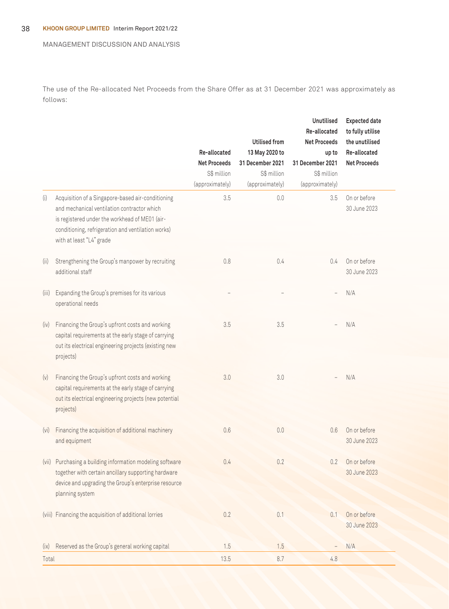The use of the Re-allocated Net Proceeds from the Share Offer as at 31 December 2021 was approximately as follows:

|       |                                                                                                                                                                                                                                      | Re-allocated<br><b>Net Proceeds</b><br>S\$ million<br>(approximately) | <b>Utilised from</b><br>13 May 2020 to<br>31 December 2021<br>S\$ million<br>(approximately) | <b>Unutilised</b><br>Re-allocated<br><b>Net Proceeds</b><br>up to<br>31 December 2021<br>S\$ million<br>(approximately) | <b>Expected date</b><br>to fully utilise<br>the unutilised<br>Re-allocated<br><b>Net Proceeds</b> |
|-------|--------------------------------------------------------------------------------------------------------------------------------------------------------------------------------------------------------------------------------------|-----------------------------------------------------------------------|----------------------------------------------------------------------------------------------|-------------------------------------------------------------------------------------------------------------------------|---------------------------------------------------------------------------------------------------|
| (i)   | Acquisition of a Singapore-based air-conditioning<br>and mechanical ventilation contractor which<br>is registered under the workhead of ME01 (air-<br>conditioning, refrigeration and ventilation works)<br>with at least "L4" grade | 3.5                                                                   | 0.0                                                                                          | 3.5                                                                                                                     | On or before<br>30 June 2023                                                                      |
| (ii)  | Strengthening the Group's manpower by recruiting<br>additional staff                                                                                                                                                                 | 0.8                                                                   | 0.4                                                                                          | 0.4                                                                                                                     | On or before<br>30 June 2023                                                                      |
| (iii) | Expanding the Group's premises for its various<br>operational needs                                                                                                                                                                  |                                                                       |                                                                                              |                                                                                                                         | N/A                                                                                               |
| (iv)  | Financing the Group's upfront costs and working<br>capital requirements at the early stage of carrying<br>out its electrical engineering projects (existing new<br>projects)                                                         | 3.5                                                                   | 3.5                                                                                          |                                                                                                                         | N/A                                                                                               |
| (v)   | Financing the Group's upfront costs and working<br>capital requirements at the early stage of carrying<br>out its electrical engineering projects (new potential<br>projects)                                                        | 3.0                                                                   | 3.0                                                                                          |                                                                                                                         | N/A                                                                                               |
| (vi)  | Financing the acquisition of additional machinery<br>and equipment                                                                                                                                                                   | 0.6                                                                   | 0.0                                                                                          | 0.6                                                                                                                     | On or before<br>30 June 2023                                                                      |
| (vii) | Purchasing a building information modeling software<br>together with certain ancillary supporting hardware<br>device and upgrading the Group's enterprise resource<br>planning system                                                | 0.4                                                                   | 0.2                                                                                          | 0.2                                                                                                                     | On or before<br>30 June 2023                                                                      |
|       | (viii) Financing the acquisition of additional lorries                                                                                                                                                                               | 0.2                                                                   | 0.1                                                                                          | 0.1                                                                                                                     | On or before<br>30 June 2023                                                                      |
| (ix)  | Reserved as the Group's general working capital                                                                                                                                                                                      | 1.5                                                                   | 1.5                                                                                          |                                                                                                                         | N/A                                                                                               |
| Total |                                                                                                                                                                                                                                      | 13.5                                                                  | 8.7                                                                                          | 4.8                                                                                                                     |                                                                                                   |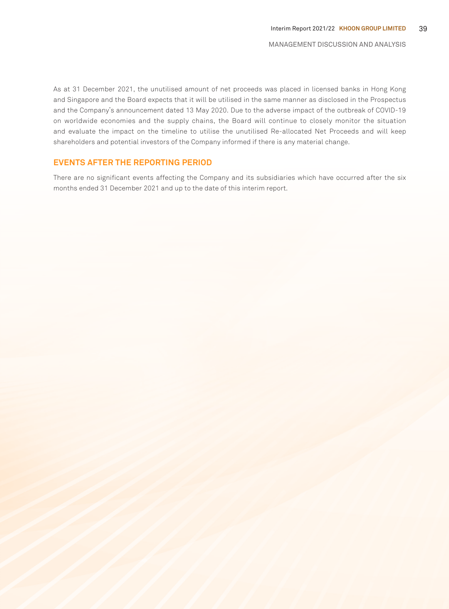As at 31 December 2021, the unutilised amount of net proceeds was placed in licensed banks in Hong Kong and Singapore and the Board expects that it will be utilised in the same manner as disclosed in the Prospectus and the Company's announcement dated 13 May 2020. Due to the adverse impact of the outbreak of COVID-19 on worldwide economies and the supply chains, the Board will continue to closely monitor the situation and evaluate the impact on the timeline to utilise the unutilised Re-allocated Net Proceeds and will keep shareholders and potential investors of the Company informed if there is any material change.

### **EVENTS AFTER THE REPORTING PERIOD**

There are no significant events affecting the Company and its subsidiaries which have occurred after the six months ended 31 December 2021 and up to the date of this interim report.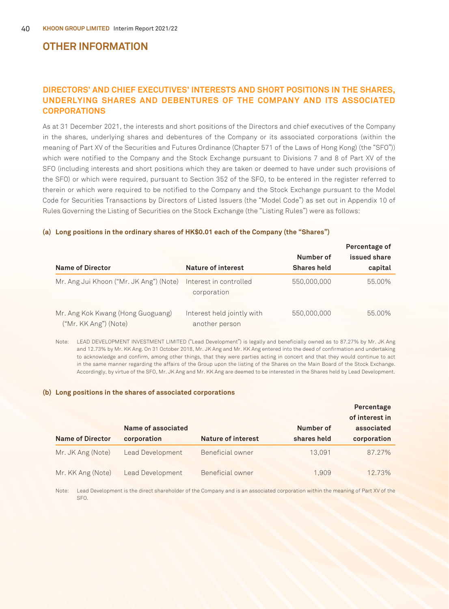### **OTHER INFORMATION**

### **DIRECTORS' AND CHIEF EXECUTIVES' INTERESTS AND SHORT POSITIONS IN THE SHARES, UNDERLYING SHARES AND DEBENTURES OF THE COMPANY AND ITS ASSOCIATED CORPORATIONS**

As at 31 December 2021, the interests and short positions of the Directors and chief executives of the Company in the shares, underlying shares and debentures of the Company or its associated corporations (within the meaning of Part XV of the Securities and Futures Ordinance (Chapter 571 of the Laws of Hong Kong) (the "SFO")) which were notified to the Company and the Stock Exchange pursuant to Divisions 7 and 8 of Part XV of the SFO (including interests and short positions which they are taken or deemed to have under such provisions of the SFO) or which were required, pursuant to Section 352 of the SFO, to be entered in the register referred to therein or which were required to be notified to the Company and the Stock Exchange pursuant to the Model Code for Securities Transactions by Directors of Listed Issuers (the "Model Code") as set out in Appendix 10 of Rules Governing the Listing of Securities on the Stock Exchange (the "Listing Rules") were as follows:

| <b>Name of Director</b>                                    | Nature of interest                           | Number of<br><b>Shares held</b> | Percentage of<br>issued share<br>capital |
|------------------------------------------------------------|----------------------------------------------|---------------------------------|------------------------------------------|
| Mr. Ang Jui Khoon ("Mr. JK Ang") (Note)                    | Interest in controlled<br>corporation        | 550,000,000                     | 55.00%                                   |
| Mr. Ang Kok Kwang (Hong Guoguang)<br>("Mr. KK Ang") (Note) | Interest held jointly with<br>another person | 550,000,000                     | 55.00%                                   |

#### **(a) Long positions in the ordinary shares of HK\$0.01 each of the Company (the "Shares")**

Note: LEAD DEVELOPMENT INVESTMENT LIMITED ("Lead Development") is legally and beneficially owned as to 87.27% by Mr. JK Ang and 12.73% by Mr. KK Ang. On 31 October 2018, Mr. JK Ang and Mr. KK Ang entered into the deed of confirmation and undertaking to acknowledge and confirm, among other things, that they were parties acting in concert and that they would continue to act in the same manner regarding the affairs of the Group upon the listing of the Shares on the Main Board of the Stock Exchange. Accordingly, by virtue of the SFO, Mr. JK Ang and Mr. KK Ang are deemed to be interested in the Shares held by Lead Development.

#### **(b) Long positions in the shares of associated corporations**

|                         |                    |                           |             | Percentage<br>of interest in |
|-------------------------|--------------------|---------------------------|-------------|------------------------------|
|                         | Name of associated |                           | Number of   | associated                   |
| <b>Name of Director</b> | corporation        | <b>Nature of interest</b> | shares held | corporation                  |
| Mr. JK Ang (Note)       | Lead Development   | Beneficial owner          | 13.091      | 87.27%                       |
| Mr. KK Ang (Note)       | Lead Development   | Beneficial owner          | 1.909       | 12.73%                       |

Note: Lead Development is the direct shareholder of the Company and is an associated corporation within the meaning of Part XV of the SFO.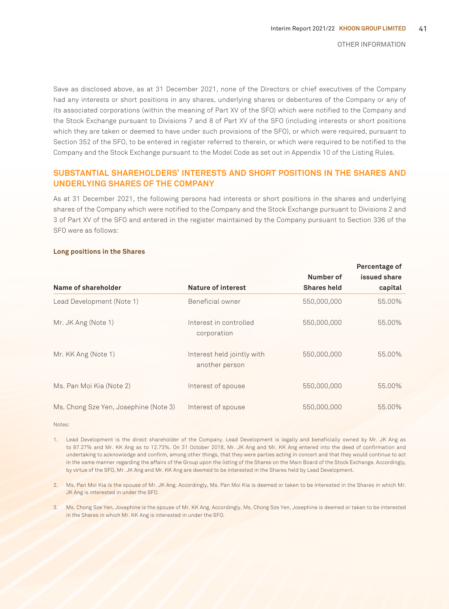Save as disclosed above, as at 31 December 2021, none of the Directors or chief executives of the Company had any interests or short positions in any shares, underlying shares or debentures of the Company or any of its associated corporations (within the meaning of Part XV of the SFO) which were notified to the Company and the Stock Exchange pursuant to Divisions 7 and 8 of Part XV of the SFO (including interests or short positions which they are taken or deemed to have under such provisions of the SFO), or which were required, pursuant to Section 352 of the SFO, to be entered in register referred to therein, or which were required to be notified to the Company and the Stock Exchange pursuant to the Model Code as set out in Appendix 10 of the Listing Rules.

### **SUBSTANTIAL SHAREHOLDERS' INTERESTS AND SHORT POSITIONS IN THE SHARES AND UNDERLYING SHARES OF THE COMPANY**

As at 31 December 2021, the following persons had interests or short positions in the shares and underlying shares of the Company which were notified to the Company and the Stock Exchange pursuant to Divisions 2 and 3 of Part XV of the SFO and entered in the register maintained by the Company pursuant to Section 336 of the SFO were as follows:

#### **Long positions in the Shares**

|                                       |                                              |                                 | Percentage of           |
|---------------------------------------|----------------------------------------------|---------------------------------|-------------------------|
| Name of shareholder                   | Nature of interest                           | Number of<br><b>Shares held</b> | issued share<br>capital |
| Lead Development (Note 1)             | Beneficial owner                             | 550,000,000                     | 55.00%                  |
| Mr. JK Ang (Note 1)                   | Interest in controlled<br>corporation        | 550,000,000                     | 55.00%                  |
| Mr. KK Ang (Note 1)                   | Interest held jointly with<br>another person | 550,000,000                     | 55.00%                  |
| Ms. Pan Moi Kia (Note 2)              | Interest of spouse                           | 550,000,000                     | 55.00%                  |
| Ms. Chong Sze Yen, Josephine (Note 3) | Interest of spouse                           | 550,000,000                     | 55.00%                  |

Notes:

1. Lead Development is the direct shareholder of the Company. Lead Development is legally and beneficially owned by Mr. JK Ang as to 87.27% and Mr. KK Ang as to 12.73%. On 31 October 2018, Mr. JK Ang and Mr. KK Ang entered into the deed of confirmation and undertaking to acknowledge and confirm, among other things, that they were parties acting in concert and that they would continue to act in the same manner regarding the affairs of the Group upon the listing of the Shares on the Main Board of the Stock Exchange. Accordingly, by virtue of the SFO, Mr. JK Ang and Mr. KK Ang are deemed to be interested in the Shares held by Lead Development.

2. Ms. Pan Moi Kia is the spouse of Mr. JK Ang. Accordingly, Ms. Pan Moi Kia is deemed or taken to be interested in the Shares in which Mr. JK Ang is interested in under the SFO.

3. Ms. Chong Sze Yen, Josephine is the spouse of Mr. KK Ang. Accordingly, Ms. Chong Sze Yen, Josephine is deemed or taken to be interested in the Shares in which Mr. KK Ang is interested in under the SFO.